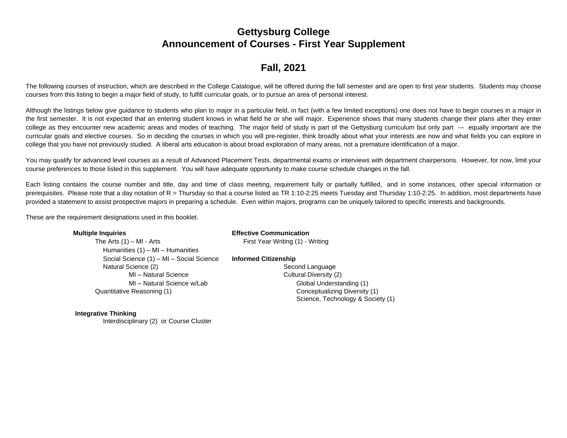# **Gettysburg College Announcement of Courses - First Year Supplement**

# **Fall, 2021**

The following courses of instruction, which are described in the College Catalogue, will be offered during the fall semester and are open to first year students. Students may choose courses from this listing to begin a major field of study, to fulfill curricular goals, or to pursue an area of personal interest.

Although the listings below give guidance to students who plan to major in a particular field, in fact (with a few limited exceptions) one does not have to begin courses in a major in the first semester. It is not expected that an entering student knows in what field he or she will major. Experience shows that many students change their plans after they enter college as they encounter new academic areas and modes of teaching. The major field of study is part of the Gettysburg curriculum but only part --- equally important are the curricular goals and elective courses. So in deciding the courses in which you will pre-register, think broadly about what your interests are now and what fields you can explore in college that you have not previously studied. A liberal arts education is about broad exploration of many areas, not a premature identification of a major.

You may qualify for advanced level courses as a result of Advanced Placement Tests, departmental exams or interviews with department chairpersons. However, for now, limit your course preferences to those listed in this supplement. You will have adequate opportunity to make course schedule changes in the fall.

Each listing contains the course number and title, day and time of class meeting, requirement fully or partially fulfilled, and in some instances, other special information or prerequisites. Please note that a day notation of  $R =$  Thursday so that a course listed as TR 1:10-2:25 meets Tuesday and Thursday 1:10-2:25. In addition, most departments have provided a statement to assist prospective majors in preparing a schedule. Even within majors, programs can be uniquely tailored to specific interests and backgrounds.

These are the requirement designations used in this booklet.

### **Multiple Inquiries Communication** Effective Communication

The Arts (1) – MI - Arts **First Year Writing (1)** - Writing (1)

Humanities (1) – MI – Humanities Social Science (1) – MI – Social Science **Informed Citizenship**  Natural Science (2) Second Language Second Language Second Language Second Language MI – Natural Science Cultural Diversity (2) MI – Natural Science w/Lab Global Understanding (1) Quantitative Reasoning (1) Conceptualizing Diversity (1)

Science, Technology & Society (1)

## **Integrative Thinking**

Interdisciplinary (2) or Course Cluster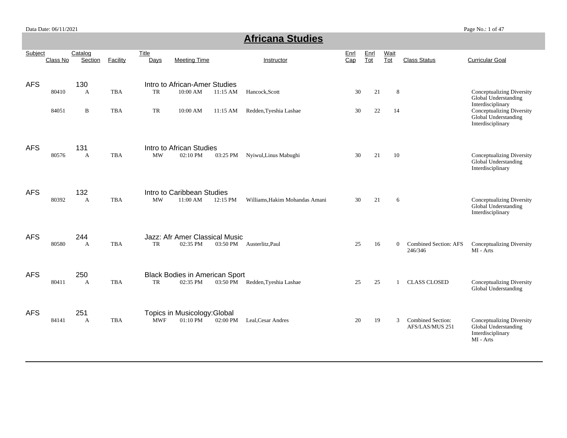Data Date: 06/11/2021 Page No.: 1 of 47

|            | <b>Africana Studies</b> |                          |                          |               |                                                       |                        |                                          |             |              |                    |                                             |                                                                                                                   |  |  |
|------------|-------------------------|--------------------------|--------------------------|---------------|-------------------------------------------------------|------------------------|------------------------------------------|-------------|--------------|--------------------|---------------------------------------------|-------------------------------------------------------------------------------------------------------------------|--|--|
| Subject    | Class No                | Catalog<br>Section       | Facility                 | Title<br>Days | <b>Meeting Time</b>                                   |                        | Instructor                               | Enrl<br>Cap | Enr<br>Tot   | Wait<br><b>Tot</b> | <b>Class Status</b>                         | <b>Curricular Goal</b>                                                                                            |  |  |
| <b>AFS</b> | 80410<br>84051          | 130<br>A<br>$\, {\bf B}$ | <b>TBA</b><br><b>TBA</b> | TR<br>TR      | Intro to African-Amer Studies<br>10:00 AM<br>10:00 AM | $11:15$ AM<br>11:15 AM | Hancock, Scott<br>Redden, Tyeshia Lashae | 30<br>30    | 21<br>$22\,$ | 8<br>14            |                                             | <b>Conceptualizing Diversity</b><br>Global Understanding<br>Interdisciplinary<br><b>Conceptualizing Diversity</b> |  |  |
|            |                         |                          |                          |               |                                                       |                        |                                          |             |              |                    |                                             | Global Understanding<br>Interdisciplinary                                                                         |  |  |
| <b>AFS</b> | 80576                   | 131<br>$\mathbf{A}$      | <b>TBA</b>               | <b>MW</b>     | Intro to African Studies<br>02:10 PM                  | 03:25 PM               | Nyiwul, Linus Mabughi                    | 30          | 21           | 10                 |                                             | <b>Conceptualizing Diversity</b><br>Global Understanding<br>Interdisciplinary                                     |  |  |
| <b>AFS</b> | 80392                   | 132<br>$\overline{A}$    | <b>TBA</b>               | <b>MW</b>     | Intro to Caribbean Studies<br>11:00 AM                | 12:15 PM               | Williams, Hakim Mohandas Amani           | 30          | 21           | 6                  |                                             | <b>Conceptualizing Diversity</b><br>Global Understanding<br>Interdisciplinary                                     |  |  |
| <b>AFS</b> | 80580                   | 244<br>$\mathbf{A}$      | <b>TBA</b>               | <b>TR</b>     | Jazz: Afr Amer Classical Music<br>02:35 PM            | 03:50 PM               | Austerlitz, Paul                         | 25          | 16           | $\mathbf{0}$       | <b>Combined Section: AFS</b><br>246/346     | <b>Conceptualizing Diversity</b><br>MI - Arts                                                                     |  |  |
| <b>AFS</b> | 80411                   | 250<br>$\mathbf{A}$      | <b>TBA</b>               | TR            | <b>Black Bodies in American Sport</b><br>02:35 PM     | 03:50 PM               | Redden, Tyeshia Lashae                   | 25          | 25           |                    | <b>CLASS CLOSED</b>                         | <b>Conceptualizing Diversity</b><br>Global Understanding                                                          |  |  |
| <b>AFS</b> | 84141                   | 251<br>A                 | <b>TBA</b>               | <b>MWF</b>    | Topics in Musicology: Global<br>01:10 PM              | 02:00 PM               | Leal, Cesar Andres                       | 20          | 19           | 3                  | <b>Combined Section:</b><br>AFS/LAS/MUS 251 | <b>Conceptualizing Diversity</b><br>Global Understanding<br>Interdisciplinary<br>MI - Arts                        |  |  |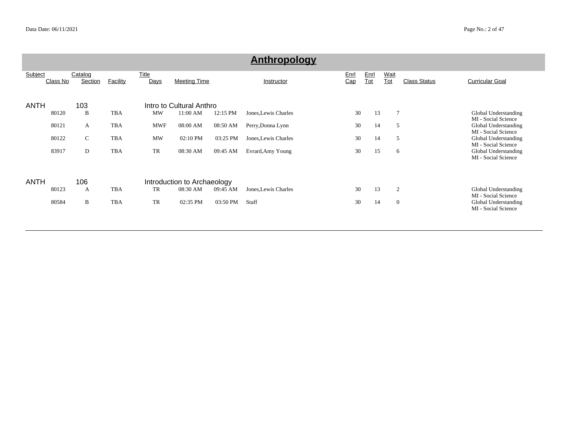|             |          |                    |            |                      |                             |          | Anthropology         |             |                    |                |                     |                                             |
|-------------|----------|--------------------|------------|----------------------|-----------------------------|----------|----------------------|-------------|--------------------|----------------|---------------------|---------------------------------------------|
| Subject     | Class No | Catalog<br>Section | Facility   | <b>Title</b><br>Days | <b>Meeting Time</b>         |          | Instructor           | Enrl<br>Cap | Enrl<br><b>Tot</b> | Wait<br>Tot    | <b>Class Status</b> | <b>Curricular Goal</b>                      |
| <b>ANTH</b> |          | 103                |            |                      | Intro to Cultural Anthro    |          |                      |             |                    |                |                     |                                             |
|             | 80120    | B                  | <b>TBA</b> | MW                   | 11:00 AM                    | 12:15 PM | Jones, Lewis Charles | 30          | 13                 | $\overline{7}$ |                     | Global Understanding<br>MI - Social Science |
|             | 80121    | A                  | <b>TBA</b> | <b>MWF</b>           | 08:00 AM                    | 08:50 AM | Perry, Donna Lynn    | 30          | 14                 | 5              |                     | Global Understanding<br>MI - Social Science |
|             | 80122    | $\mathsf{C}$       | TBA        | MW                   | 02:10 PM                    | 03:25 PM | Jones, Lewis Charles | 30          | 14                 | 5              |                     | Global Understanding<br>MI - Social Science |
|             | 83917    | D                  | <b>TBA</b> | <b>TR</b>            | 08:30 AM                    | 09:45 AM | Evrard, Amy Young    | 30          | 15                 | 6              |                     | Global Understanding<br>MI - Social Science |
|             |          |                    |            |                      |                             |          |                      |             |                    |                |                     |                                             |
| <b>ANTH</b> |          | 106                |            |                      | Introduction to Archaeology |          |                      |             |                    |                |                     |                                             |
|             | 80123    | A                  | <b>TBA</b> | <b>TR</b>            | 08:30 AM                    | 09:45 AM | Jones, Lewis Charles | 30          | 13                 | 2              |                     | Global Understanding<br>MI - Social Science |
|             | 80584    | B                  | TBA        | <b>TR</b>            | 02:35 PM                    | 03:50 PM | Staff                | 30          | 14                 | $\mathbf{0}$   |                     | Global Understanding<br>MI - Social Science |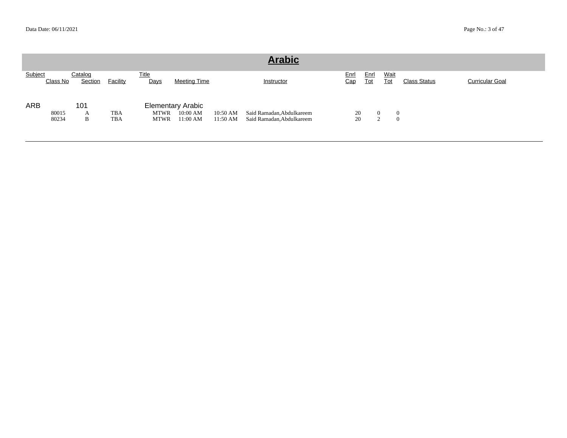|         | <b>Arabic</b>  |                    |            |                      |                                                    |                      |                                                        |                           |                    |                                    |                                  |                        |  |  |
|---------|----------------|--------------------|------------|----------------------|----------------------------------------------------|----------------------|--------------------------------------------------------|---------------------------|--------------------|------------------------------------|----------------------------------|------------------------|--|--|
| Subject | Class No       | Catalog<br>Section | Facility   | <u>Title</u><br>Days | <b>Meeting Time</b>                                |                      | Instructor                                             | <b>Enrl</b><br><u>Cap</u> | Enrl<br><b>Tot</b> | <u>Wait</u><br><b>Tot</b>          | <b>Class Status</b>              | <b>Curricular Goal</b> |  |  |
| ARB     | 80015<br>80234 | 101<br>A<br>B      | TBA<br>TBA | MTWR<br>MTWR         | <b>Elementary Arabic</b><br>$10:00$ AM<br>11:00 AM | 10:50 AM<br>11:50 AM | Said Ramadan, Abdulkareem<br>Said Ramadan, Abdulkareem | 20<br>20                  |                    | $\left( \right)$<br>$\overline{2}$ | $\overline{0}$<br>$\overline{0}$ |                        |  |  |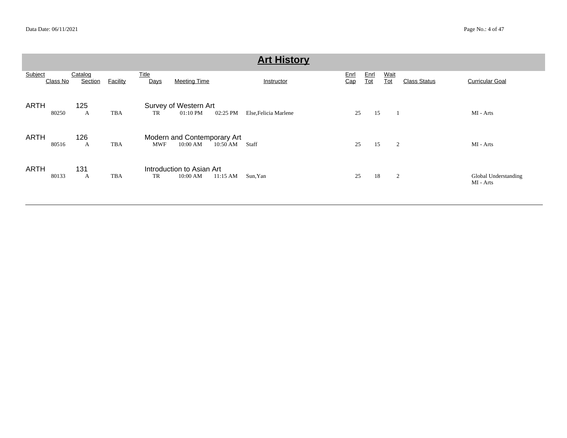| <b>Art History</b>   |                    |          |                                                                       |                       |                                                                |                     |                                   |  |  |  |  |  |
|----------------------|--------------------|----------|-----------------------------------------------------------------------|-----------------------|----------------------------------------------------------------|---------------------|-----------------------------------|--|--|--|--|--|
| Subject<br>Class No  | Catalog<br>Section | Facility | <b>Title</b><br><b>Meeting Time</b><br>Days                           | Instructor            | Enrl<br><b>Wait</b><br>Enrl<br><b>Tot</b><br><b>Tot</b><br>Cap | <b>Class Status</b> | <b>Curricular Goal</b>            |  |  |  |  |  |
| ARTH<br>80250        | 125<br>A           | TBA      | Survey of Western Art<br>01:10 PM<br>TR<br>02:25 PM                   | Else, Felicia Marlene | 25<br>15                                                       |                     | MI - Arts                         |  |  |  |  |  |
| ARTH<br>80516        | 126<br>A           | TBA      | Modern and Contemporary Art<br><b>MWF</b><br>$10:50$ AM<br>$10:00$ AM | Staff                 | 25<br>15                                                       | 2                   | MI - Arts                         |  |  |  |  |  |
| <b>ARTH</b><br>80133 | 131<br>A           | TBA      | Introduction to Asian Art<br>TR<br>$10:00$ AM<br>$11:15$ AM           | Sun Yan               | 18<br>25                                                       | 2                   | Global Understanding<br>MI - Arts |  |  |  |  |  |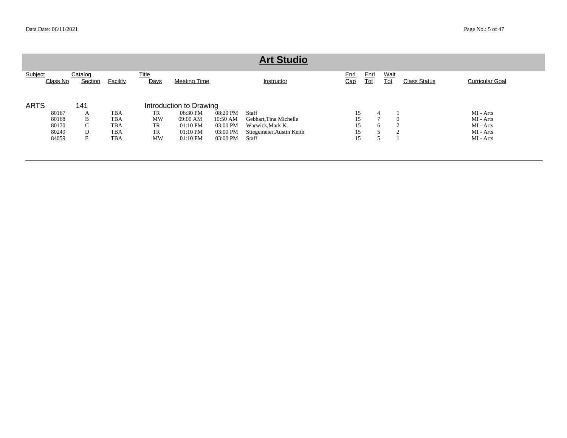|             | <b>Art Studio</b> |         |            |              |                         |          |                           |      |                                  |             |                     |                        |  |  |
|-------------|-------------------|---------|------------|--------------|-------------------------|----------|---------------------------|------|----------------------------------|-------------|---------------------|------------------------|--|--|
|             |                   |         |            |              |                         |          |                           |      |                                  |             |                     |                        |  |  |
| Subject     |                   | Catalog |            | <b>Title</b> |                         |          |                           | Enrl | <u>Enrl</u>                      | <b>Wait</b> |                     |                        |  |  |
|             | Class No          | Section | Facility   | Days         | <b>Meeting Time</b>     |          | Instructor                | Cap  | $\underline{\operatorname{Tot}}$ | Tot         | <b>Class Status</b> | <b>Curricular Goal</b> |  |  |
|             |                   |         |            |              |                         |          |                           |      |                                  |             |                     |                        |  |  |
|             |                   |         |            |              |                         |          |                           |      |                                  |             |                     |                        |  |  |
| <b>ARTS</b> |                   | 141     |            |              | Introduction to Drawing |          |                           |      |                                  |             |                     |                        |  |  |
|             | 80167             | A       | <b>TBA</b> | TR           | 06:30 PM                | 08:20 PM | Staff                     | 15   | 4                                |             |                     | MI - Arts              |  |  |
|             | 80168             | B       | <b>TBA</b> | MW           | $09:00$ AM              | 10:50 AM | Gebhart, Tina Michelle    | 15   |                                  |             | $\theta$            | MI - Arts              |  |  |
|             | 80170             | C       | <b>TBA</b> | TR           | $01:10$ PM              | 03:00 PM | Warwick, Mark K.          | 15   | 6                                |             |                     | MI - Arts              |  |  |
|             | 80249             | D       | TBA        | TR           | $01:10$ PM              | 03:00 PM | Stiegemeier, Austin Keith | 15   |                                  |             | $\sim$              | MI - Arts              |  |  |
|             | 84059             | E       | <b>TBA</b> | MW           | $01:10$ PM              | 03:00 PM | Staff                     | 15   |                                  |             |                     | MI - Arts              |  |  |
|             |                   |         |            |              |                         |          |                           |      |                                  |             |                     |                        |  |  |
|             |                   |         |            |              |                         |          |                           |      |                                  |             |                     |                        |  |  |
|             |                   |         |            |              |                         |          |                           |      |                                  |             |                     |                        |  |  |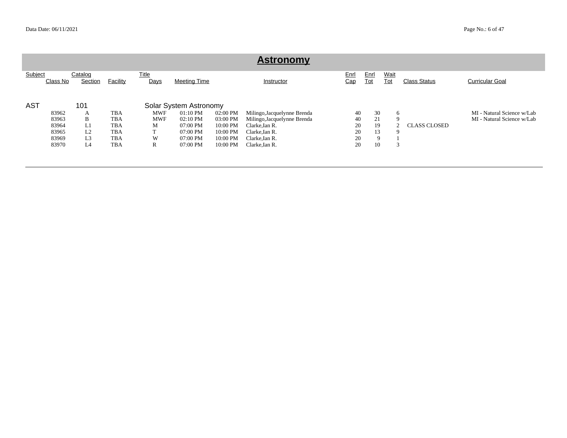|                                                                  | <b>Astronomy</b>                                  |                                                                                  |                                               |                                                                                                          |                                                                      |                                                                                                                                  |                                  |                                 |                           |                     |                                                          |  |  |
|------------------------------------------------------------------|---------------------------------------------------|----------------------------------------------------------------------------------|-----------------------------------------------|----------------------------------------------------------------------------------------------------------|----------------------------------------------------------------------|----------------------------------------------------------------------------------------------------------------------------------|----------------------------------|---------------------------------|---------------------------|---------------------|----------------------------------------------------------|--|--|
| Subject<br>Class No                                              | Catalog<br>Section                                | Facility                                                                         | <b>Title</b><br>Days                          | <b>Meeting Time</b>                                                                                      |                                                                      | Instructor                                                                                                                       | Enrl<br>$\mathsf{Cap}$           | <b>Enrl</b><br>$Tot$            | <u>Wait</u><br><b>Tot</b> | <b>Class Status</b> | <b>Curricular Goal</b>                                   |  |  |
| <b>AST</b><br>83962<br>83963<br>83964<br>83965<br>83969<br>83970 | 101<br>A<br>B<br>L1<br>L2<br>L <sub>3</sub><br>L4 | <b>TBA</b><br><b>TBA</b><br><b>TBA</b><br><b>TBA</b><br><b>TBA</b><br><b>TBA</b> | <b>MWF</b><br><b>MWF</b><br>M<br>m.<br>W<br>R | Solar System Astronomy<br>$01:10$ PM<br>$02:10$ PM<br>$07:00$ PM<br>$07:00$ PM<br>$07:00$ PM<br>07:00 PM | 02:00 PM<br>03:00 PM<br>10:00 PM<br>10:00 PM<br>10:00 PM<br>10:00 PM | Milingo, Jacquelynne Brenda<br>Milingo, Jacquelynne Brenda<br>Clarke.Ian R.<br>Clarke.Ian R.<br>Clarke, Ian R.<br>Clarke, Ian R. | 40<br>40<br>20<br>20<br>20<br>20 | 30<br>21<br>19<br>13<br>9<br>10 | 6<br>9<br>9<br>3          | <b>CLASS CLOSED</b> | MI - Natural Science w/Lab<br>MI - Natural Science w/Lab |  |  |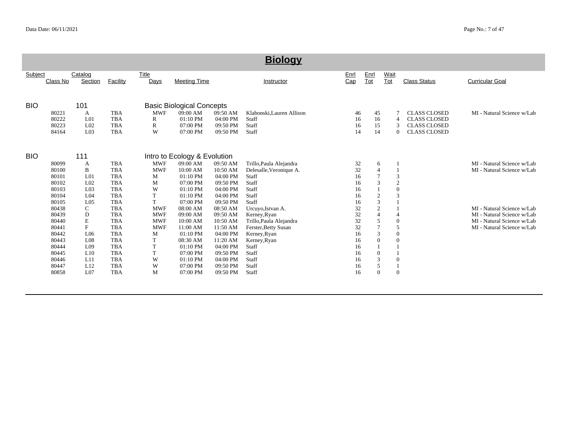| <b>Biology</b> |          |                 |            |              |                                  |          |                          |      |                |                  |                     |                            |  |  |
|----------------|----------|-----------------|------------|--------------|----------------------------------|----------|--------------------------|------|----------------|------------------|---------------------|----------------------------|--|--|
|                |          |                 |            |              |                                  |          |                          |      |                |                  |                     |                            |  |  |
| Subject        |          | Catalog         |            | Title        |                                  |          |                          | Enrl | Enrl           | Wait             |                     |                            |  |  |
|                | Class No | Section         | Facility   | Days         | <b>Meeting Time</b>              |          | Instructor               | Cap  | $Tot$          | <b>Tot</b>       | <b>Class Status</b> | <b>Curricular Goal</b>     |  |  |
|                |          |                 |            |              |                                  |          |                          |      |                |                  |                     |                            |  |  |
|                |          |                 |            |              |                                  |          |                          |      |                |                  |                     |                            |  |  |
| <b>BIO</b>     |          | 101             |            |              | <b>Basic Biological Concepts</b> |          |                          |      |                |                  |                     |                            |  |  |
|                | 80221    | A               | <b>TBA</b> | <b>MWF</b>   | 09:00 AM                         | 09:50 AM | Klabonski.Lauren Allison | 46   | 45             |                  | <b>CLASS CLOSED</b> | MI - Natural Science w/Lab |  |  |
|                | 80222    | L <sub>01</sub> | <b>TBA</b> | R            | $01:10$ PM                       | 04:00 PM | Staff                    | 16   | 16             |                  | <b>CLASS CLOSED</b> |                            |  |  |
|                | 80223    | L <sub>02</sub> | <b>TBA</b> | $\mathbb{R}$ | $07:00$ PM                       | 09:50 PM | Staff                    | 16   | 15             | 3                | <b>CLASS CLOSED</b> |                            |  |  |
|                | 84164    | L <sub>03</sub> | <b>TBA</b> | W            | 07:00 PM                         | 09:50 PM | Staff                    | 14   | 14             | $\Omega$         | <b>CLASS CLOSED</b> |                            |  |  |
|                |          |                 |            |              |                                  |          |                          |      |                |                  |                     |                            |  |  |
|                |          |                 |            |              |                                  |          |                          |      |                |                  |                     |                            |  |  |
| <b>BIO</b>     |          | 111             |            |              | Intro to Ecology & Evolution     |          |                          |      |                |                  |                     |                            |  |  |
|                | 80099    | A               | <b>TBA</b> | <b>MWF</b>   | $09:00$ AM                       | 09:50 AM | Trillo, Paula Alejandra  | 32   | 6              |                  |                     | MI - Natural Science w/Lab |  |  |
|                | 80100    | B               | <b>TBA</b> | <b>MWF</b>   | $10:00$ AM                       | 10:50 AM | Delesalle, Veronique A.  | 32   | $\overline{4}$ | $\overline{1}$   |                     | MI - Natural Science w/Lab |  |  |
|                | 80101    | L <sub>01</sub> | <b>TBA</b> | M            | $01:10$ PM                       | 04:00 PM | Staff                    | 16   | $\overline{7}$ | 3                |                     |                            |  |  |
|                | 80102    | L <sub>02</sub> | <b>TBA</b> | M            | 07:00 PM                         | 09:50 PM | Staff                    | 16   | 3              | $\mathfrak{2}$   |                     |                            |  |  |
|                | 80103    | L <sub>03</sub> | <b>TBA</b> | W            | $01:10$ PM                       | 04:00 PM | Staff                    | 16   |                | $\mathbf{0}$     |                     |                            |  |  |
|                | 80104    | L <sub>04</sub> | <b>TBA</b> | T            | $01:10$ PM                       | 04:00 PM | Staff                    | 16   | $\frac{2}{3}$  | 3                |                     |                            |  |  |
|                | 80105    | L <sub>05</sub> | TBA        | T            | $07:00$ PM                       | 09:50 PM | Staff                    | 16   |                |                  |                     |                            |  |  |
|                | 80438    | $\mathbf C$     | <b>TBA</b> | <b>MWF</b>   | 08:00 AM                         | 08:50 AM | Urcuyo, Istvan A.        | 32   | $\sqrt{2}$     |                  |                     | MI - Natural Science w/Lab |  |  |
|                | 80439    | D               | <b>TBA</b> | <b>MWF</b>   | 09:00 AM                         | 09:50 AM | Kerney, Ryan             | 32   | $\overline{4}$ | $\overline{4}$   |                     | MI - Natural Science w/Lab |  |  |
|                | 80440    | E               | <b>TBA</b> | <b>MWF</b>   | $10:00$ AM                       | 10:50 AM | Trillo, Paula Alejandra  | 32   | 5              | $\boldsymbol{0}$ |                     | MI - Natural Science w/Lab |  |  |
|                | 80441    | F               | <b>TBA</b> | <b>MWF</b>   | 11:00 AM                         | 11:50 AM | Ferster, Betty Susan     | 32   | $\overline{7}$ | 5                |                     | MI - Natural Science w/Lab |  |  |
|                | 80442    | L06             | <b>TBA</b> | M            | $01:10$ PM                       | 04:00 PM | Kerney, Ryan             | 16   | $\mathfrak{Z}$ | $\mathbf{0}$     |                     |                            |  |  |
|                | 80443    | L <sub>08</sub> | <b>TBA</b> | T            | 08:30 AM                         | 11:20 AM | Kerney, Ryan             | 16   | $\overline{0}$ | $\mathbf{0}$     |                     |                            |  |  |
|                | 80444    | L <sub>09</sub> | <b>TBA</b> | T            | $01:10$ PM                       | 04:00 PM | Staff                    | 16   |                |                  |                     |                            |  |  |
|                | 80445    | L10             | <b>TBA</b> | T            | 07:00 PM                         | 09:50 PM | Staff                    | 16   | $\overline{0}$ |                  |                     |                            |  |  |
|                | 80446    | L11             | <b>TBA</b> | W            | $01:10$ PM                       | 04:00 PM | Staff                    | 16   | 3              | $\mathbf{0}$     |                     |                            |  |  |
|                | 80447    | L12             | <b>TBA</b> | W            | 07:00 PM                         | 09:50 PM | Staff                    | 16   | 5              | $\overline{1}$   |                     |                            |  |  |
|                | 80858    | L <sub>07</sub> | <b>TBA</b> | M            | 07:00 PM                         | 09:50 PM | Staff                    | 16   | $\Omega$       | $\overline{0}$   |                     |                            |  |  |
|                |          |                 |            |              |                                  |          |                          |      |                |                  |                     |                            |  |  |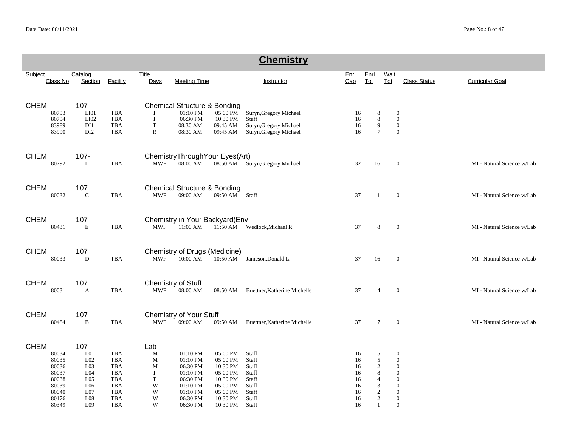|                                                                                              | <b>Chemistry</b>                                                                                                                                       |                                                                                                |                                                  |                                                                                                            |                                                                                                          |                                                                                     |                                                    |                                                                                                                              |                                                                                                                                                              |                     |                            |  |  |  |
|----------------------------------------------------------------------------------------------|--------------------------------------------------------------------------------------------------------------------------------------------------------|------------------------------------------------------------------------------------------------|--------------------------------------------------|------------------------------------------------------------------------------------------------------------|----------------------------------------------------------------------------------------------------------|-------------------------------------------------------------------------------------|----------------------------------------------------|------------------------------------------------------------------------------------------------------------------------------|--------------------------------------------------------------------------------------------------------------------------------------------------------------|---------------------|----------------------------|--|--|--|
| Subject<br>Class No                                                                          | Catalog<br>Section                                                                                                                                     | Facility                                                                                       | <b>Title</b><br>Days                             | <b>Meeting Time</b>                                                                                        |                                                                                                          | Instructor                                                                          | <u>Enrl</u><br>Cap                                 | Enrl<br><b>Tot</b>                                                                                                           | <b>Wait</b><br>$Tot$                                                                                                                                         | <b>Class Status</b> | <b>Curricular Goal</b>     |  |  |  |
| <b>CHEM</b><br>80793<br>80794<br>83989<br>83990                                              | $107-I$<br>LI01<br>LI <sub>02</sub><br>DI1<br>DI <sub>2</sub>                                                                                          | <b>TBA</b><br>TBA<br><b>TBA</b><br><b>TBA</b>                                                  | T<br>$\mathbf T$<br>$\mathbf T$<br>$\mathbb{R}$  | <b>Chemical Structure &amp; Bonding</b><br>01:10 PM<br>06:30 PM<br>08:30 AM<br>08:30 AM                    | 05:00 PM<br>10:30 PM<br>09:45 AM<br>09:45 AM                                                             | Suryn, Gregory Michael<br>Staff<br>Suryn, Gregory Michael<br>Suryn, Gregory Michael | 16<br>16<br>16<br>16                               | $\,8\,$<br>8<br>9<br>$\overline{7}$                                                                                          | $\boldsymbol{0}$<br>$\boldsymbol{0}$<br>$\boldsymbol{0}$<br>$\boldsymbol{0}$                                                                                 |                     |                            |  |  |  |
| <b>CHEM</b><br>80792                                                                         | $107 -$<br>$\bf{I}$                                                                                                                                    | <b>TBA</b>                                                                                     | <b>MWF</b>                                       | ChemistryThroughYour Eyes(Art)<br>$08:00$ AM                                                               |                                                                                                          | 08:50 AM Suryn, Gregory Michael                                                     | 32                                                 | 16                                                                                                                           | $\boldsymbol{0}$                                                                                                                                             |                     | MI - Natural Science w/Lab |  |  |  |
| <b>CHEM</b><br>80032                                                                         | 107<br>$\mathsf{C}$                                                                                                                                    | <b>TBA</b>                                                                                     | <b>MWF</b>                                       | <b>Chemical Structure &amp; Bonding</b><br>09:00 AM                                                        | 09:50 AM Staff                                                                                           |                                                                                     | 37                                                 | $\mathbf{1}$                                                                                                                 | $\boldsymbol{0}$                                                                                                                                             |                     | MI - Natural Science w/Lab |  |  |  |
| <b>CHEM</b><br>80431                                                                         | 107<br>$\mathbf E$                                                                                                                                     | <b>TBA</b>                                                                                     | <b>MWF</b>                                       | Chemistry in Your Backyard(Env<br>11:00 AM                                                                 |                                                                                                          | 11:50 AM Wedlock, Michael R.                                                        | 37                                                 | 8                                                                                                                            | $\boldsymbol{0}$                                                                                                                                             |                     | MI - Natural Science w/Lab |  |  |  |
| <b>CHEM</b><br>80033                                                                         | 107<br>${\rm D}$                                                                                                                                       | TBA                                                                                            | <b>MWF</b>                                       | Chemistry of Drugs (Medicine)<br>10:00 AM                                                                  |                                                                                                          | 10:50 AM Jameson, Donald L.                                                         | 37                                                 | 16                                                                                                                           | $\boldsymbol{0}$                                                                                                                                             |                     | MI - Natural Science w/Lab |  |  |  |
| <b>CHEM</b><br>80031                                                                         | 107<br>$\mathbf{A}$                                                                                                                                    | TBA                                                                                            | <b>MWF</b>                                       | <b>Chemistry of Stuff</b><br>08:00 AM                                                                      | 08:50 AM                                                                                                 | Buettner, Katherine Michelle                                                        | 37                                                 | $\overline{4}$                                                                                                               | $\mathbf{0}$                                                                                                                                                 |                     | MI - Natural Science w/Lab |  |  |  |
| <b>CHEM</b><br>80484                                                                         | 107<br>B                                                                                                                                               | TBA                                                                                            | <b>MWF</b>                                       | Chemistry of Your Stuff<br>09:00 AM                                                                        |                                                                                                          | 09:50 AM Buettner, Katherine Michelle                                               | 37                                                 | $\tau$                                                                                                                       | $\mathbf{0}$                                                                                                                                                 |                     | MI - Natural Science w/Lab |  |  |  |
| <b>CHEM</b><br>80034<br>80035<br>80036<br>80037<br>80038<br>80039<br>80040<br>80176<br>80349 | 107<br>L <sub>01</sub><br>L <sub>02</sub><br>L <sub>03</sub><br>L <sub>04</sub><br>L <sub>05</sub><br>L <sub>06</sub><br>L07<br>L08<br>L <sub>09</sub> | <b>TBA</b><br>TBA<br><b>TBA</b><br>TBA<br>TBA<br><b>TBA</b><br>TBA<br><b>TBA</b><br><b>TBA</b> | Lab<br>M<br>M<br>M<br>T<br>T<br>W<br>W<br>W<br>W | 01:10 PM<br>01:10 PM<br>06:30 PM<br>$01:10$ PM<br>06:30 PM<br>01:10 PM<br>01:10 PM<br>06:30 PM<br>06:30 PM | 05:00 PM<br>05:00 PM<br>10:30 PM<br>05:00 PM<br>10:30 PM<br>05:00 PM<br>05:00 PM<br>10:30 PM<br>10:30 PM | Staff<br>Staff<br>Staff<br>Staff<br>Staff<br>Staff<br>Staff<br>Staff<br>Staff       | 16<br>16<br>16<br>16<br>16<br>16<br>16<br>16<br>16 | 5<br>$\mathfrak{S}$<br>$\sqrt{2}$<br>8<br>$\overline{4}$<br>$\mathfrak{Z}$<br>$\sqrt{2}$<br>$\overline{2}$<br>$\overline{1}$ | $\mathbf{0}$<br>$\boldsymbol{0}$<br>$\boldsymbol{0}$<br>$\overline{0}$<br>$\mathbf{0}$<br>$\boldsymbol{0}$<br>$\overline{0}$<br>$\boldsymbol{0}$<br>$\Omega$ |                     |                            |  |  |  |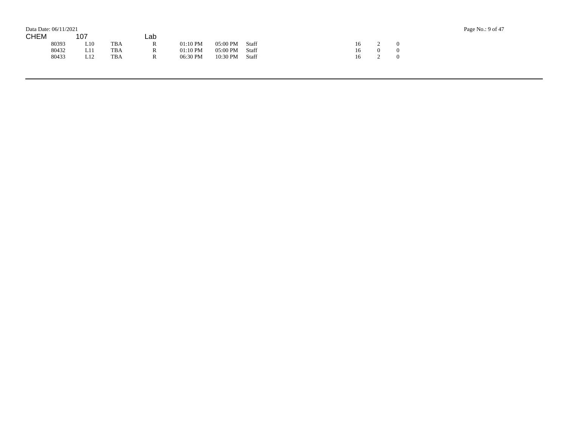| Data Date: 06/11/2021 |                 |            |     |            |          |       |    |  | Page No.: |
|-----------------------|-----------------|------------|-----|------------|----------|-------|----|--|-----------|
| CHEM                  | 107             |            | ∟ab |            |          |       |    |  |           |
| 80393                 | L <sub>10</sub> | <b>TBA</b> | R   | 01:10 PM   | 05:00 PM | Staff | 16 |  |           |
| 80432                 | L11             | TBA        | R   | $01:10$ PM | 05:00 PM | Staff | 16 |  |           |
| 80433                 | L12             | TBA        | R   | 06:30 PM   | 10:30 PM | Staff | 16 |  |           |

Page No.: 9 of 47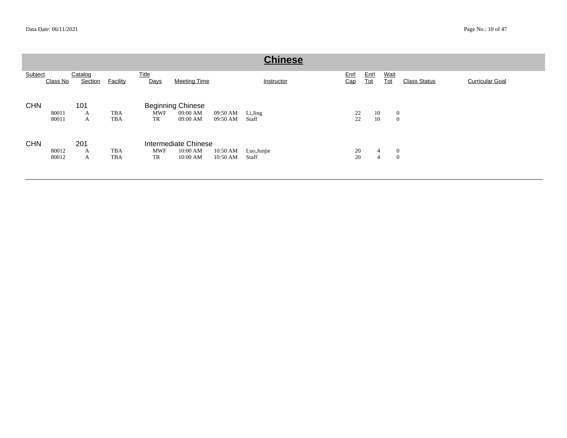|            | <b>Chinese</b> |                    |                 |                      |                                                  |                      |                      |                        |                                            |                              |                        |  |  |  |
|------------|----------------|--------------------|-----------------|----------------------|--------------------------------------------------|----------------------|----------------------|------------------------|--------------------------------------------|------------------------------|------------------------|--|--|--|
| Subject    | Class No       | Catalog<br>Section | <b>Facility</b> | <b>Title</b><br>Days | <b>Meeting Time</b>                              |                      | Instructor           | Enrl<br>$\mathbf{Cap}$ | Enrl<br><u>Wait</u><br>$Tot$<br><b>Tot</b> | <b>Class Status</b>          | <b>Curricular Goal</b> |  |  |  |
| <b>CHN</b> | 80011<br>80011 | 101<br>A<br>A      | TBA<br>TBA      | <b>MWF</b><br>TR     | <b>Beginning Chinese</b><br>09:00 AM<br>09:00 AM | 09:50 AM<br>09:50 AM | Li, Jing<br>Staff    | 22<br>22               | 10<br>10                                   | $\mathbf{0}$<br>$\mathbf{0}$ |                        |  |  |  |
| <b>CHN</b> | 80012<br>80012 | 201<br>A<br>A      | TBA<br>TBA      | <b>MWF</b><br>TR     | Intermediate Chinese<br>$10:00$ AM<br>$10:00$ AM | 10:50 AM<br>10:50 AM | Luo, Junjie<br>Staff | 20<br>20               | 4<br>$\overline{4}$                        | $\mathbf{0}$<br>$\mathbf{0}$ |                        |  |  |  |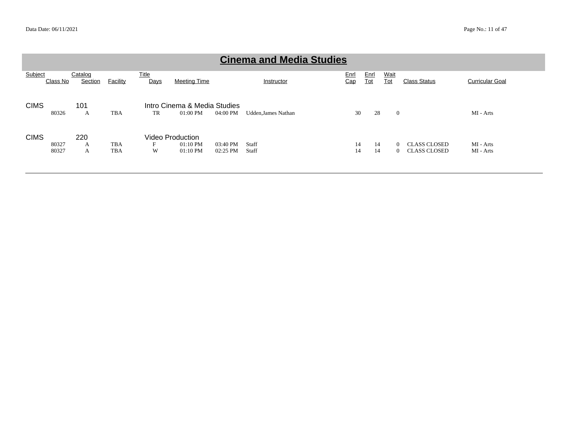|             | <b>Cinema and Media Studies</b> |                    |            |                      |                                              |                      |                    |  |             |             |                    |                                                        |                        |  |
|-------------|---------------------------------|--------------------|------------|----------------------|----------------------------------------------|----------------------|--------------------|--|-------------|-------------|--------------------|--------------------------------------------------------|------------------------|--|
| Subject     | Class No                        | Catalog<br>Section | Facility   | <b>Title</b><br>Days | <b>Meeting Time</b>                          |                      | Instructor         |  | Enrl<br>Cap | Enrl<br>Tot | <b>Wait</b><br>Tot | <b>Class Status</b>                                    | <b>Curricular Goal</b> |  |
| <b>CIMS</b> | 80326                           | 101<br>A           | <b>TBA</b> | TR                   | Intro Cinema & Media Studies<br>$01:00$ PM   | 04:00 PM             | Udden.James Nathan |  | 30          | 28          | $\bf{0}$           |                                                        | MI - Arts              |  |
| <b>CIMS</b> | 80327<br>80327                  | 220<br>A<br>A      | TBA<br>TBA | F<br>W               | Video Production<br>$01:10$ PM<br>$01:10$ PM | 03:40 PM<br>02:25 PM | Staff<br>Staff     |  | 14<br>14    | 14<br>14    | $\Omega$           | <b>CLASS CLOSED</b><br><b>CLASS CLOSED</b><br>$\Omega$ | MI - Arts<br>MI - Arts |  |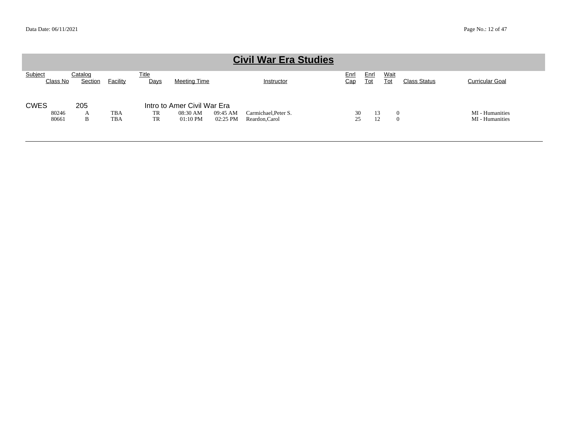| <b>Civil War Era Studies</b> |                    |                          |                             |                             |                      |                                        |                                 |              |                    |                      |                                    |  |  |
|------------------------------|--------------------|--------------------------|-----------------------------|-----------------------------|----------------------|----------------------------------------|---------------------------------|--------------|--------------------|----------------------|------------------------------------|--|--|
| Subject<br>Class No          | Catalog<br>Section | Facility                 | <b>Title</b><br><u>Days</u> | <b>Meeting Time</b>         |                      | Instructor                             | Enrl<br>$\mathop{\mathrm{Cap}}$ | Enr<br>$Tot$ | <b>Wait</b><br>Tot | <b>Class Status</b>  | <b>Curricular Goal</b>             |  |  |
| <b>CWES</b>                  | 205                |                          |                             | Intro to Amer Civil War Era |                      |                                        |                                 |              |                    |                      |                                    |  |  |
| 80246<br>80661               | A<br>B             | <b>TBA</b><br><b>TBA</b> | TR<br>TR                    | 08:30 AM<br>$01:10$ PM      | 09:45 AM<br>02:25 PM | Carmichael, Peter S.<br>Reardon, Carol | 30<br>25                        |              | 13<br>12           | $\Omega$<br>$\bf{0}$ | MI - Humanities<br>MI - Humanities |  |  |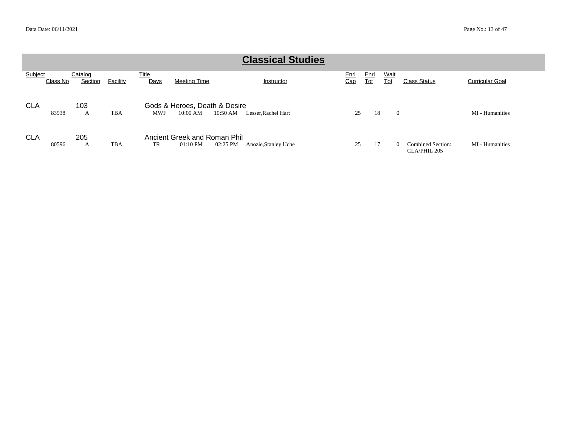|            |          |                    |            |                      |                                                         | <b>Classical Studies</b> |                    |                   |                    |                                   |                        |
|------------|----------|--------------------|------------|----------------------|---------------------------------------------------------|--------------------------|--------------------|-------------------|--------------------|-----------------------------------|------------------------|
| Subject    | Class No | Catalog<br>Section | Facility   | Title<br><u>Days</u> | <b>Meeting Time</b>                                     | Instructor               | <u>Enrl</u><br>Cap | Enr<br><b>Tot</b> | <u>Wait</u><br>Tot | <b>Class Status</b>               | <b>Curricular Goal</b> |
| CLA        | 83938    | 103<br>A           | <b>TBA</b> | <b>MWF</b>           | Gods & Heroes, Death & Desire<br>$10:00$ AM<br>10:50 AM | Lesser, Rachel Hart      | 25                 | 18                | $\overline{0}$     |                                   | MI - Humanities        |
| <b>CLA</b> | 80596    | 205<br>A           | <b>TBA</b> | TR                   | Ancient Greek and Roman Phil<br>02:25 PM<br>$01:10$ PM  | Anozie, Stanley Uche     | 25                 | 17                |                    | Combined Section:<br>CLA/PHIL 205 | MI - Humanities        |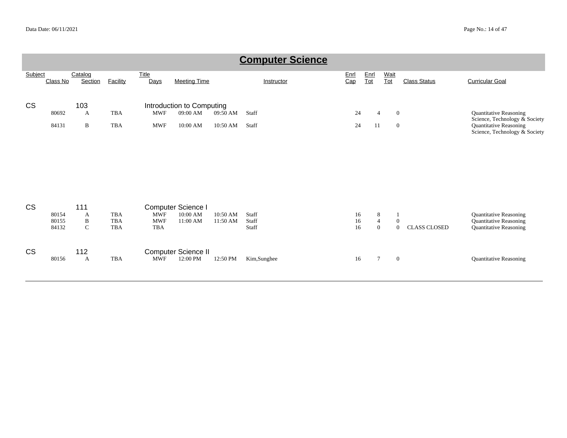|           | <b>Computer Science</b> |                                  |                                        |                                        |                                 |                      |                         |                    |                                       |                              |                     |                                                                                   |  |  |  |
|-----------|-------------------------|----------------------------------|----------------------------------------|----------------------------------------|---------------------------------|----------------------|-------------------------|--------------------|---------------------------------------|------------------------------|---------------------|-----------------------------------------------------------------------------------|--|--|--|
| Subject   | Class No                | Catalog<br>Section               | Facility                               | <b>Title</b><br>Days                   | <b>Meeting Time</b>             |                      | Instructor              | <u>Enrl</u><br>Cap | Enrl<br>$\overline{\text{Tot}}$       | <u>Wait</u><br><b>Tot</b>    | <b>Class Status</b> | <b>Curricular Goal</b>                                                            |  |  |  |
| <b>CS</b> |                         | 103                              |                                        |                                        | Introduction to Computing       |                      |                         |                    |                                       |                              |                     |                                                                                   |  |  |  |
|           | 80692                   | A                                | <b>TBA</b>                             | <b>MWF</b>                             | 09:00 AM                        | 09:50 AM             | Staff                   | 24                 | 4                                     | $\bf{0}$                     |                     | <b>Quantitative Reasoning</b><br>Science, Technology & Society                    |  |  |  |
|           | 84131                   | B                                | <b>TBA</b>                             | <b>MWF</b>                             | 10:00 AM                        | 10:50 AM             | Staff                   | 24                 | 11                                    | $\overline{0}$               |                     | Quantitative Reasoning<br>Science, Technology & Society                           |  |  |  |
| <b>CS</b> |                         | 111                              |                                        |                                        | Computer Science I              |                      |                         |                    |                                       |                              |                     |                                                                                   |  |  |  |
|           | 80154<br>80155<br>84132 | A<br>$\, {\bf B}$<br>$\mathbf C$ | <b>TBA</b><br><b>TBA</b><br><b>TBA</b> | <b>MWF</b><br><b>MWF</b><br><b>TBA</b> | 10:00 AM<br>11:00 AM            | 10:50 AM<br>11:50 AM | Staff<br>Staff<br>Staff | 16<br>16<br>16     | 8<br>$\overline{4}$<br>$\overline{0}$ | $\mathbf{0}$<br>$\mathbf{0}$ | <b>CLASS CLOSED</b> | <b>Quantitative Reasoning</b><br>Quantitative Reasoning<br>Quantitative Reasoning |  |  |  |
| <b>CS</b> | 80156                   | 112<br>$\mathbf{A}$              | <b>TBA</b>                             | <b>MWF</b>                             | Computer Science II<br>12:00 PM | 12:50 PM             | Kim, Sunghee            | 16                 | $\tau$                                | $\bf{0}$                     |                     | <b>Quantitative Reasoning</b>                                                     |  |  |  |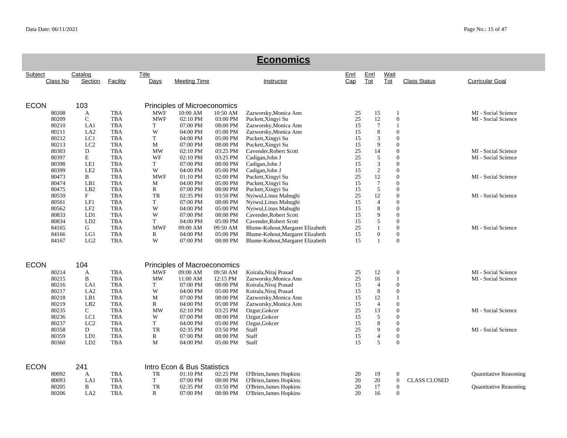## **Economics** Subject Catalog Title Enrl Enrl Wait Class No Section Facility Days Meeting Time **Instructor Cap Tot Tot Class Status** Curricular Goal ECON 103 Principles of Microeconomics<br>80208 A TBA MWF 10:00 AM 10:50 AM 80208 A TBA MWF 10:00 AM 10:50 AM Zazworsky,Monica Ann 25 15 1 MI - Social Science 80209 C TBA MWF 02:10 PM 03:00 PM Puckett,Xingyi Su 25 12 0 MI - Social Science 80210 LA1 TBA T 07:00 PM 08:00 PM Zazworsky,Monica Ann 15 7 1 1.42 TBA W 04:00 PM 05:00 PM Zazworsky,Monica Ann 15<br>
15 15 15 15 04:00 PM 05:00 PM Puckett.Xingyi Su 80212 LC1 TBA T 04:00 PM 05:00 PM Puckett,Xingyi Su 15 3 0 80213 LC2 TBA M 07:00 PM 08:00 PM Puckett,Xingyi Su 15 9 0 80303 D TBA MW 02:10 PM 03:25 PM Cavender,Robert Scott 25 14 0 MI - Social Science 80397 E TBA WF 02:10 PM 03:25 PM Cadigan,John J 25 5 0 MI - Social Science 80398 LE1 TBA T 07:00 PM 08:00 PM Cadigan,John J 15 3 0 80399 LE2 TBA W 04:00 PM 05:00 PM Cadigan,John J 15 2 0 80473 B TBA MWF 01:10 PM 02:00 PM Puckett,Xingyi Su 25 12 0 MI - Social Science 80474 LB1 TBA M 04:00 PM 05:00 PM Puckett,Xingyi Su 15 7 0 Puckett,Xingyi Su 15 5 0<br>
Nyiwul Linus Mabughi 25 12 0 80559 F TBA TR 02:35 PM 03:50 PM Nyiwul,Linus Mabughi 25 12 0 MI - Social Science<br>80561 LF1 TBA T 07:00 PM 08:00 PM Nyiwul,Linus Mabughi 15 4 0 80561 LF1 TBA T 07:00 PM 08:00 PM Nyiwul,Linus Mabughi 15 4 0 Nyiwul,Linus Mabughi 80833 LD1 TBA W 07:00 PM 08:00 PM Cavender,Robert Scott 15 9 0<br>80834 LD2 TBA T 04:00 PM 05:00 PM Cavender.Robert Scott 15 5 0 80834 LD2 TBA T 04:00 PM 05:00 PM Cavender,Robert Scott 15 5 0<br>84165 G TBA MWF 09:00 AM 09:50 AM Blume-Kohout.Margaret Elizabeth 25 1 0 84165 G TBA MWF 09:00 AM 09:50 AM Blume-Kohout,Margaret Elizabeth 25 1 0 MI - Social Science<br>84166 LG1 TBA R 04:00 PM 05:00 PM Blume-Kohout.Margaret Elizabeth 15 0 0 814:00 PM 05:00 PM Blume-Kohout,Margaret Elizabeth 15<br>
815 W 07:00 PM 08:00 PM Blume-Kohout.Margaret Elizabeth 15 84167 LG2 TBA W 07:00 PM 08:00 PM Blume-Kohout,Margaret Elizabeth 15 1 0 ECON 104 Principles of Macroeconomics<br>
80214 A TBA MWF 09:00 AM 09:50 AM 80214 A TBA MWF 09:00 AM 09:50 AM Koirala,Niraj Prasad 25 12 0 MI - Social Science 80215 B TBA MW 11:00 AM 12:15 PM Zazworsky,Monica Ann 25 16 1 MI - Social Science 80216 LA1 TBA T 07:00 PM 08:00 PM Koirala,Niraj Prasad 15 4 0 80217 LA2 TBA W 04:00 PM 05:00 PM Koirala,Niraj Prasad 15 8 0 80218 LB1 TBA M 07:00 PM 08:00 PM Zazworsky,Monica Ann 15 12 1 80219 LB2 TBA R 04:00 PM 05:00 PM Zazworsky,Monica Ann 15 4<br>80235 C TBA MW 02:10 PM 03:25 PM Ozgur,Gokcer 25 13 80235 C TBA MW 02:10 PM 03:25 PM Ozgur,Gokcer 25 13 0 MI - Social Science 80236 LC1 TBA W 07:00 PM 08:00 PM Ozgur,Gokcer 15 5 0 80237 LC2 TBA T 04:00 PM 05:00 PM Ozgur,Gokcer 15 8 0 80358 D TBA TR 02:35 PM 03:50 PM Staff 25 9 0 MI - Social Science 80359 LD1 TBA R 07:00 PM 08:00 PM Staff 15 4 0 80360 LD2 TBA M 04:00 PM 05:00 PM Staff 15 5 0 ECON 241 Intro Econ & Bus Statistics<br>  $\begin{array}{ccc}\n & 241 \\
80092 & A \\
\hline\n\end{array}$  TBA TR 01:10 PM 02:25 PM 80092 A TBA TR 01:10 PM 02:25 PM O'Brien, James Hopkins 20 19 0 CLASS CLOSED Quantitative Reasoning<br>80093 LA1 TBA T 07:00 PM 08:00 PM O'Brien, James Hopkins 20 20 0 CLASS CLOSED 80093 LA1 TBA T 07:00 PM 08:00 PM O'Brien,James Hopkins 20 20 0<br>80205 B TBA TR 02:35 PM 03:50 PM O'Brien.James Hopkins 20 17 0 80205 B TBA TR 02:35 PM 03:50 PM O'Brien, James Hopkins 20 17 0 Cuantitative Reasoning<br>80206 LA2 TBA R 07:00 PM 08:00 PM O'Brien. James Hopkins 20 16 0 O'Brien,James Hopkins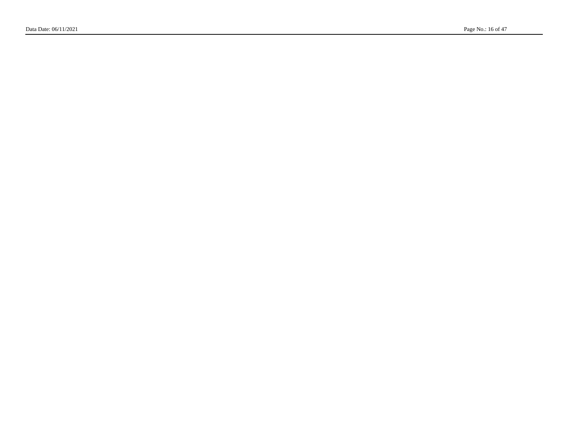Data Date: 06/11/2021 Page No.: 16 of 47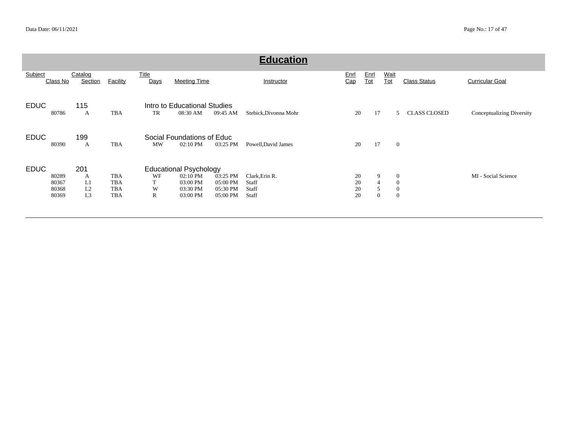|             | <b>Education</b> |                |            |              |                               |          |                       |        |                |                  |                     |                                  |  |  |
|-------------|------------------|----------------|------------|--------------|-------------------------------|----------|-----------------------|--------|----------------|------------------|---------------------|----------------------------------|--|--|
|             |                  |                |            |              |                               |          |                       |        |                |                  |                     |                                  |  |  |
| Subject     |                  | Catalog        |            | <b>Title</b> |                               |          |                       | Enrl   | Enrl           | <b>Wait</b>      |                     |                                  |  |  |
|             | Class No         | Section        | Facility   | Days         | <b>Meeting Time</b>           |          | Instructor            | Cap    | <b>Tot</b>     | <b>Tot</b>       | <b>Class Status</b> | <b>Curricular Goal</b>           |  |  |
|             |                  |                |            |              |                               |          |                       |        |                |                  |                     |                                  |  |  |
|             |                  |                |            |              |                               |          |                       |        |                |                  |                     |                                  |  |  |
| <b>EDUC</b> |                  | 115            |            |              | Intro to Educational Studies  |          |                       |        |                |                  |                     |                                  |  |  |
|             |                  |                |            |              |                               |          |                       |        |                |                  |                     |                                  |  |  |
|             | 80786            | A              | TBA        | TR           | 08:30 AM                      | 09:45 AM | Stebick, Divonna Mohr | 20     | 17             |                  | 5 CLASS CLOSED      | <b>Conceptualizing Diversity</b> |  |  |
|             |                  |                |            |              |                               |          |                       |        |                |                  |                     |                                  |  |  |
|             |                  |                |            |              |                               |          |                       |        |                |                  |                     |                                  |  |  |
| <b>EDUC</b> |                  | 199            |            |              | Social Foundations of Educ    |          |                       |        |                |                  |                     |                                  |  |  |
|             | 80390            | A              | <b>TBA</b> | <b>MW</b>    | $02:10$ PM                    | 03:25 PM | Powell, David James   | 20     | 17             | $\overline{0}$   |                     |                                  |  |  |
|             |                  |                |            |              |                               |          |                       |        |                |                  |                     |                                  |  |  |
|             |                  |                |            |              |                               |          |                       |        |                |                  |                     |                                  |  |  |
|             |                  |                |            |              |                               |          |                       |        |                |                  |                     |                                  |  |  |
| <b>EDUC</b> |                  | 201            |            |              | <b>Educational Psychology</b> |          |                       |        |                |                  |                     |                                  |  |  |
|             | 80289            | A              | TBA        | WF           | 02:10 PM                      | 03:25 PM | Clark, Erin R.        | 20     | 9              | $\boldsymbol{0}$ |                     | MI - Social Science              |  |  |
|             | 80367            | L1             | <b>TBA</b> | T            | 03:00 PM                      | 05:00 PM | Staff                 | 20     | $\overline{4}$ | $\mathbf{0}$     |                     |                                  |  |  |
|             | 80368            | L2             | <b>TBA</b> | W            | 03:30 PM                      | 05:30 PM | Staff                 | $20\,$ | 5              | $\mathbf{0}$     |                     |                                  |  |  |
|             | 80369            | L <sub>3</sub> | <b>TBA</b> | $\mathbb{R}$ | 03:00 PM                      | 05:00 PM | Staff                 | 20     | $\Omega$       | $\mathbf{0}$     |                     |                                  |  |  |
|             |                  |                |            |              |                               |          |                       |        |                |                  |                     |                                  |  |  |
|             |                  |                |            |              |                               |          |                       |        |                |                  |                     |                                  |  |  |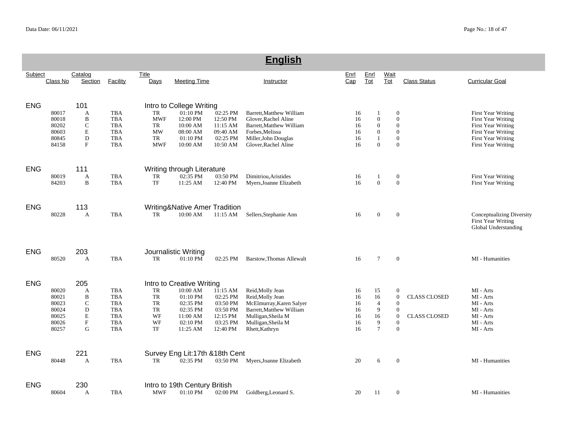|            |          |              |            |              |                                          |          | <b>English</b>                  |      |                  |                  |                                     |                                  |  |
|------------|----------|--------------|------------|--------------|------------------------------------------|----------|---------------------------------|------|------------------|------------------|-------------------------------------|----------------------------------|--|
| Subject    |          | Catalog      |            | <b>Title</b> |                                          |          |                                 | Enrl | Enrl             | <b>Wait</b>      |                                     |                                  |  |
|            | Class No | Section      | Facility   | Days         | <b>Meeting Time</b>                      |          | Instructor                      | Cap  | <b>Tot</b>       | <b>Tot</b>       | <b>Class Status</b>                 | <b>Curricular Goal</b>           |  |
|            |          |              |            |              |                                          |          |                                 |      |                  |                  |                                     |                                  |  |
|            |          |              |            |              |                                          |          |                                 |      |                  |                  |                                     |                                  |  |
| <b>ENG</b> |          | 101          |            |              | Intro to College Writing                 |          |                                 |      |                  |                  |                                     |                                  |  |
|            | 80017    | A            | <b>TBA</b> | TR           | 01:10 PM                                 | 02:25 PM | Barrett, Matthew William        | 16   | 1                | $\mathbf{0}$     |                                     | <b>First Year Writing</b>        |  |
|            | 80018    | B            | <b>TBA</b> | <b>MWF</b>   | 12:00 PM                                 | 12:50 PM | Glover, Rachel Aline            | 16   | $\boldsymbol{0}$ | $\boldsymbol{0}$ |                                     | First Year Writing               |  |
|            | 80202    | $\mathsf{C}$ | <b>TBA</b> | TR           | 10:00 AM                                 | 11:15 AM | Barrett, Matthew William        | 16   | $\mathbf{0}$     | $\overline{0}$   |                                     | <b>First Year Writing</b>        |  |
|            | 80603    | $\mathbf E$  | <b>TBA</b> | MW           | 08:00 AM                                 | 09:40 AM | Forbes, Melissa                 | 16   | $\mathbf{0}$     | $\overline{0}$   |                                     | First Year Writing               |  |
|            | 80845    | D            | TBA        | TR           | $01:10$ PM                               | 02:25 PM | Miller, John Douglas            | 16   | -1               | $\boldsymbol{0}$ |                                     | <b>First Year Writing</b>        |  |
|            | 84158    | $_{\rm F}$   | <b>TBA</b> | <b>MWF</b>   | 10:00 AM                                 | 10:50 AM | Glover, Rachel Aline            | 16   | $\mathbf{0}$     | $\boldsymbol{0}$ |                                     | First Year Writing               |  |
|            |          |              |            |              |                                          |          |                                 |      |                  |                  |                                     |                                  |  |
|            |          |              |            |              |                                          |          |                                 |      |                  |                  |                                     |                                  |  |
| <b>ENG</b> |          | 111          |            |              | Writing through Literature               |          |                                 |      |                  |                  |                                     |                                  |  |
|            | 80019    | A            | <b>TBA</b> | TR           | 02:35 PM                                 | 03:50 PM | Dimitriou, Aristides            | 16   | $\overline{1}$   | $\boldsymbol{0}$ |                                     | First Year Writing               |  |
|            | 84203    | B            | <b>TBA</b> | TF           | 11:25 AM                                 | 12:40 PM | Myers, Joanne Elizabeth         | 16   | $\mathbf{0}$     |                  | $\theta$                            | First Year Writing               |  |
|            |          |              |            |              |                                          |          |                                 |      |                  |                  |                                     |                                  |  |
|            |          |              |            |              |                                          |          |                                 |      |                  |                  |                                     |                                  |  |
| <b>ENG</b> |          | 113          |            |              | <b>Writing&amp;Native Amer Tradition</b> |          |                                 |      |                  |                  |                                     |                                  |  |
|            | 80228    | A            | <b>TBA</b> | TR           | 10:00 AM                                 | 11:15 AM | Sellers, Stephanie Ann          | 16   | $\boldsymbol{0}$ | $\boldsymbol{0}$ |                                     | <b>Conceptualizing Diversity</b> |  |
|            |          |              |            |              |                                          |          |                                 |      |                  |                  |                                     | First Year Writing               |  |
|            |          |              |            |              |                                          |          |                                 |      |                  |                  |                                     | Global Understanding             |  |
|            |          |              |            |              |                                          |          |                                 |      |                  |                  |                                     |                                  |  |
|            |          |              |            |              |                                          |          |                                 |      |                  |                  |                                     |                                  |  |
| <b>ENG</b> |          | 203          |            |              | Journalistic Writing                     |          |                                 |      |                  |                  |                                     |                                  |  |
|            | 80520    | A            | <b>TBA</b> | TR           | 01:10 PM                                 | 02:25 PM | <b>Barstow, Thomas Allewalt</b> | 16   | $7\phantom{.0}$  | $\mathbf{0}$     |                                     | MI - Humanities                  |  |
|            |          |              |            |              |                                          |          |                                 |      |                  |                  |                                     |                                  |  |
|            |          |              |            |              |                                          |          |                                 |      |                  |                  |                                     |                                  |  |
| <b>ENG</b> |          | 205          |            |              | Intro to Creative Writing                |          |                                 |      |                  |                  |                                     |                                  |  |
|            | 80020    | A            | <b>TBA</b> | TR           | 10:00 AM                                 | 11:15 AM | Reid, Molly Jean                | 16   | 15               | $\mathbf{0}$     |                                     | MI - Arts                        |  |
|            | 80021    | B            | TBA        | TR           | 01:10 PM                                 | 02:25 PM | Reid, Molly Jean                | 16   | 16               |                  | $\mathbf{0}$<br><b>CLASS CLOSED</b> | MI - Arts                        |  |
|            | 80023    | $\mathsf C$  | <b>TBA</b> | TR           | 02:35 PM                                 | 03:50 PM | McElmurray, Karen Salyer        | 16   | $\overline{4}$   | $\overline{0}$   |                                     | MI - Arts                        |  |
|            | 80024    | D            | <b>TBA</b> | TR           | 02:35 PM                                 | 03:50 PM | Barrett, Matthew William        | 16   | 9                | $\mathbf{0}$     |                                     | MI - Arts                        |  |
|            | 80025    | E            | <b>TBA</b> | WF           | 11:00 AM                                 | 12:15 PM | Mulligan, Sheila M              | 16   | 16               | $\theta$         | <b>CLASS CLOSED</b>                 | MI - Arts                        |  |
|            | 80026    | F            | TBA        | WF           | 02:10 PM                                 | 03:25 PM | Mulligan, Sheila M              | 16   | 9                | $\boldsymbol{0}$ |                                     | MI - Arts                        |  |
|            | 80257    | G            | <b>TBA</b> | TF           | 11:25 AM                                 | 12:40 PM | Rhett, Kathryn                  | 16   | $\overline{7}$   | $\boldsymbol{0}$ |                                     | MI - Arts                        |  |
|            |          |              |            |              |                                          |          |                                 |      |                  |                  |                                     |                                  |  |
|            |          |              |            |              |                                          |          |                                 |      |                  |                  |                                     |                                  |  |
| <b>ENG</b> |          | 221          |            |              | Survey Eng Lit:17th &18th Cent           |          |                                 |      |                  |                  |                                     |                                  |  |
|            | 80448    | A            | <b>TBA</b> | TR           | 02:35 PM                                 | 03:50 PM | Myers, Joanne Elizabeth         | 20   | 6                | $\boldsymbol{0}$ |                                     | MI - Humanities                  |  |
|            |          |              |            |              |                                          |          |                                 |      |                  |                  |                                     |                                  |  |
|            |          |              |            |              |                                          |          |                                 |      |                  |                  |                                     |                                  |  |
| <b>ENG</b> |          | 230          |            |              | Intro to 19th Century British            |          |                                 |      |                  |                  |                                     |                                  |  |
|            | 80604    | A            | <b>TBA</b> | <b>MWF</b>   | 01:10 PM                                 | 02:00 PM | Goldberg, Leonard S.            | 20   | 11               | $\mathbf{0}$     |                                     | MI - Humanities                  |  |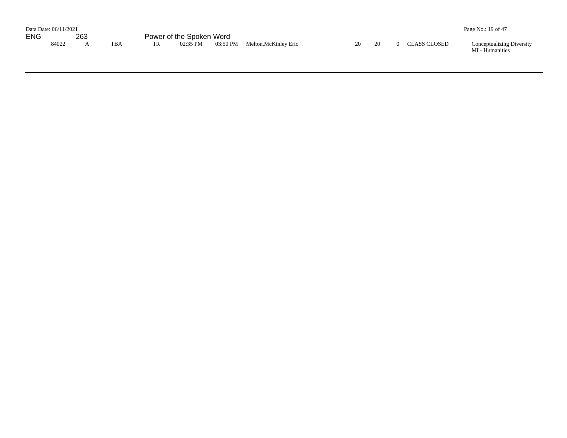|     | Data Date: 06/11/2021 |     |            |    |                          |          |                       |    |    |                | Page No.: 19 of 47                                  |
|-----|-----------------------|-----|------------|----|--------------------------|----------|-----------------------|----|----|----------------|-----------------------------------------------------|
| ENG |                       | 263 |            |    | Power of the Spoken Word |          |                       |    |    |                |                                                     |
|     | 84022                 |     | <b>TBA</b> | TR | 02:35 PM                 | 03:50 PM | Melton, McKinley Eric | 20 | 20 | 0 CLASS CLOSED | <b>Conceptualizing Diversity</b><br>MI - Humanities |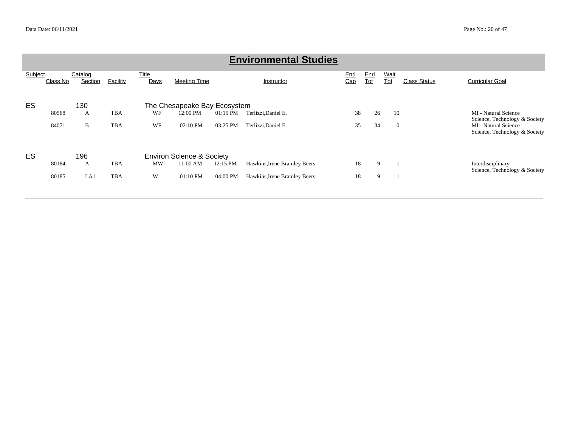|         |          |                    |                 |               |                                      |          | <b>Environmental Studies</b> |                    |                    |                    |                     |                                                       |
|---------|----------|--------------------|-----------------|---------------|--------------------------------------|----------|------------------------------|--------------------|--------------------|--------------------|---------------------|-------------------------------------------------------|
| Subject | Class No | Catalog<br>Section | <b>Facility</b> | Title<br>Days | <b>Meeting Time</b>                  |          | <b>Instructor</b>            | <u>Enrl</u><br>Cap | Enrl<br><b>Tot</b> | <u>Wait</u><br>Tot | <b>Class Status</b> | <b>Curricular Goal</b>                                |
| ES      |          | 130                |                 |               | The Chesapeake Bay Ecosystem         |          |                              |                    |                    |                    |                     |                                                       |
|         | 80568    | A                  | TBA             | WF            | 12:00 PM                             | 01:15 PM | Terlizzi, Daniel E.          |                    | 38                 | 26                 | 10                  | MI - Natural Science<br>Science, Technology & Society |
|         | 84071    | B                  | <b>TBA</b>      | WF            | 02:10 PM                             | 03:25 PM | Terlizzi, Daniel E.          |                    | 35                 | 34                 | $\overline{0}$      | MI - Natural Science<br>Science, Technology & Society |
| ES      |          | 196                |                 |               | <b>Environ Science &amp; Society</b> |          |                              |                    |                    |                    |                     |                                                       |
|         | 80184    | A                  | <b>TBA</b>      | MW            | 11:00 AM                             | 12:15 PM | Hawkins, Irene Bramley Beers |                    | 18                 | 9                  |                     | Interdisciplinary<br>Science, Technology & Society    |
|         | 80185    | LA1                | TBA             | W             | 01:10 PM                             | 04:00 PM | Hawkins, Irene Bramley Beers |                    | 18                 | 9                  |                     |                                                       |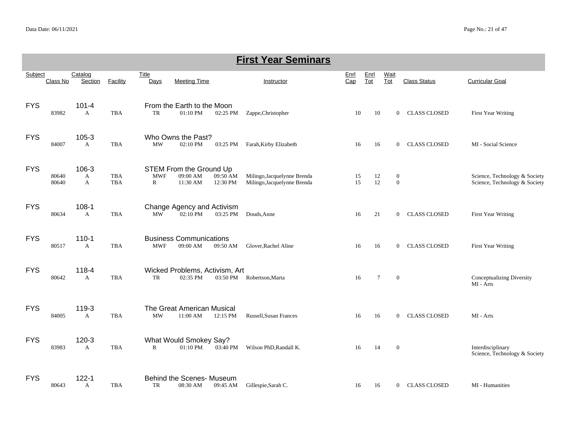|            | <b>First Year Seminars</b> |                         |                   |                      |                                                                         |                                                            |                    |                           |                                |                     |                                                                |  |  |  |
|------------|----------------------------|-------------------------|-------------------|----------------------|-------------------------------------------------------------------------|------------------------------------------------------------|--------------------|---------------------------|--------------------------------|---------------------|----------------------------------------------------------------|--|--|--|
| Subject    | Class No                   | Catalog<br>Section      | Facility          | <b>Title</b><br>Days | <b>Meeting Time</b>                                                     | Instructor                                                 | <u>Enrl</u><br>Cap | <b>Enrl</b><br><b>Tot</b> | Wait<br>$Tot$                  | <b>Class Status</b> | <b>Curricular Goal</b>                                         |  |  |  |
| <b>FYS</b> | 83982                      | $101 - 4$<br>A          | TBA               | TR                   | From the Earth to the Moon<br>01:10 PM                                  | 02:25 PM Zappe, Christopher                                | 10                 | 10                        |                                | 0 CLASS CLOSED      | First Year Writing                                             |  |  |  |
| <b>FYS</b> | 84007                      | $105 - 3$<br>A          | TBA               | <b>MW</b>            | Who Owns the Past?<br>02:10 PM<br>03:25 PM                              | Farah, Kirby Elizabeth                                     | 16                 | 16                        | $\overline{0}$                 | <b>CLASS CLOSED</b> | MI - Social Science                                            |  |  |  |
| <b>FYS</b> | 80640<br>80640             | 106-3<br>A<br>A         | TBA<br><b>TBA</b> | <b>MWF</b><br>R      | STEM From the Ground Up<br>09:00 AM<br>09:50 AM<br>11:30 AM<br>12:30 PM | Milingo, Jacquelynne Brenda<br>Milingo, Jacquelynne Brenda | 15<br>15           | 12<br>12                  | $\mathbf{0}$<br>$\overline{0}$ |                     | Science, Technology & Society<br>Science, Technology & Society |  |  |  |
| <b>FYS</b> | 80634                      | $108-1$<br>A            | <b>TBA</b>        | <b>MW</b>            | Change Agency and Activism<br>02:10 PM<br>03:25 PM                      | Douds, Anne                                                | 16                 | 21                        | $\overline{0}$                 | <b>CLASS CLOSED</b> | First Year Writing                                             |  |  |  |
| <b>FYS</b> | 80517                      | $110-1$<br>A            | TBA               | <b>MWF</b>           | <b>Business Communications</b><br>09:00 AM<br>09:50 AM                  | Glover, Rachel Aline                                       | 16                 | 16                        | $\overline{0}$                 | <b>CLASS CLOSED</b> | First Year Writing                                             |  |  |  |
| <b>FYS</b> | 80642                      | 118-4<br>$\mathbf{A}$   | <b>TBA</b>        | TR                   | Wicked Problems, Activism, Art<br>02:35 PM                              | 03:50 PM Robertson, Marta                                  | 16                 | $7\phantom{.0}$           | $\mathbf{0}$                   |                     | <b>Conceptualizing Diversity</b><br>MI - Arts                  |  |  |  |
| <b>FYS</b> | 84005                      | 119-3<br>A              | TBA               | <b>MW</b>            | The Great American Musical<br>11:00 AM<br>12:15 PM                      | Russell, Susan Frances                                     | 16                 | 16                        |                                | 0 CLASS CLOSED      | MI - Arts                                                      |  |  |  |
| <b>FYS</b> | 83983                      | $120-3$<br>$\mathbf{A}$ | <b>TBA</b>        | $\mathbb{R}$         | What Would Smokey Say?<br>01:10 PM<br>03:40 PM                          | Wilson PhD, Randall K.                                     | 16                 | 14                        | $\overline{0}$                 |                     | Interdisciplinary<br>Science, Technology & Society             |  |  |  |
| <b>FYS</b> | 80643                      | $122 - 1$<br>A          | TBA               | TR                   | Behind the Scenes- Museum<br>08:30 AM<br>09:45 AM                       | Gillespie, Sarah C.                                        | 16                 | 16                        | $\overline{0}$                 | <b>CLASS CLOSED</b> | MI - Humanities                                                |  |  |  |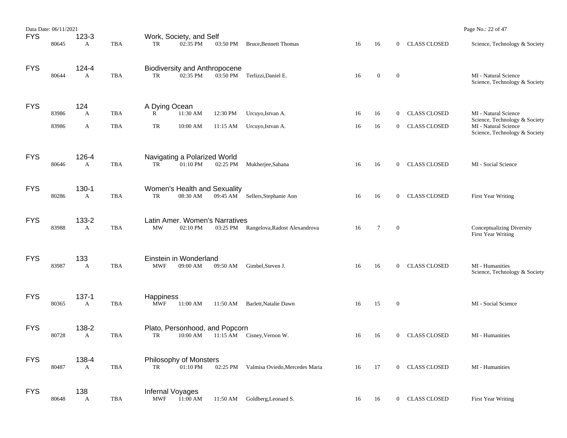|            | Data Date: 06/11/2021 |                       |            |                                |                                            |          |                                         |    |              |                  |                     | Page No.: 22 of 47                                                                     |
|------------|-----------------------|-----------------------|------------|--------------------------------|--------------------------------------------|----------|-----------------------------------------|----|--------------|------------------|---------------------|----------------------------------------------------------------------------------------|
| <b>FYS</b> | 80645                 | $123 - 3$<br>A        | <b>TBA</b> | TR                             | Work, Society, and Self<br>02:35 PM        | 03:50 PM | <b>Bruce, Bennett Thomas</b>            | 16 | 16           | $\overline{0}$   | <b>CLASS CLOSED</b> | Science, Technology & Society                                                          |
| <b>FYS</b> | 80644                 | 124-4<br>$\mathbf{A}$ | <b>TBA</b> | TR                             | Biodiversity and Anthropocene<br>02:35 PM  |          | 03:50 PM Terlizzi, Daniel E.            | 16 | $\mathbf{0}$ | $\boldsymbol{0}$ |                     | MI - Natural Science<br>Science, Technology & Society                                  |
| <b>FYS</b> | 83986                 | 124<br>A              | <b>TBA</b> | A Dying Ocean<br>R             | 11:30 AM                                   | 12:30 PM | Urcuyo, Istvan A.                       | 16 | 16           | $\mathbf{0}$     | <b>CLASS CLOSED</b> | MI - Natural Science                                                                   |
|            | 83986                 | A                     | TBA        | TR                             | 10:00 AM                                   | 11:15 AM | Urcuyo, Istvan A.                       | 16 | 16           | $\mathbf{0}$     | <b>CLASS CLOSED</b> | Science, Technology & Society<br>MI - Natural Science<br>Science, Technology & Society |
| <b>FYS</b> | 80646                 | 126-4<br>A            | <b>TBA</b> | TR                             | Navigating a Polarized World<br>01:10 PM   | 02:25 PM | Mukherjee, Sahana                       | 16 | 16           | $\overline{0}$   | <b>CLASS CLOSED</b> | MI - Social Science                                                                    |
| <b>FYS</b> | 80286                 | 130-1<br>A            | TBA        | TR                             | Women's Health and Sexuality<br>08:30 AM   | 09:45 AM | Sellers, Stephanie Ann                  | 16 | 16           | $\overline{0}$   | <b>CLASS CLOSED</b> | First Year Writing                                                                     |
| <b>FYS</b> | 83988                 | 133-2<br>A            | TBA        | <b>MW</b>                      | Latin Amer. Women's Narratives<br>02:10 PM |          | 03:25 PM Rangelova, Radost Alexandrova  | 16 | $\tau$       | $\mathbf{0}$     |                     | <b>Conceptualizing Diversity</b><br>First Year Writing                                 |
| <b>FYS</b> | 83987                 | 133<br>A              | <b>TBA</b> | <b>MWF</b>                     | Einstein in Wonderland<br>09:00 AM         | 09:50 AM | Gimbel, Steven J.                       | 16 | 16           | $\overline{0}$   | <b>CLASS CLOSED</b> | MI - Humanities<br>Science, Technology & Society                                       |
| <b>FYS</b> | 80365                 | $137 - 1$<br>A        | <b>TBA</b> | Happiness<br><b>MWF</b>        | 11:00 AM                                   | 11:50 AM | Barlett, Natalie Dawn                   | 16 | 15           | $\mathbf{0}$     |                     | MI - Social Science                                                                    |
| <b>FYS</b> | 80728                 | 138-2<br>A            | TBA        | TR                             | Plato, Personhood, and Popcorn<br>10:00 AM |          | 11:15 AM Cisney, Vernon W.              | 16 | 16           | $\overline{0}$   | <b>CLASS CLOSED</b> | MI - Humanities                                                                        |
| <b>FYS</b> | 80487                 | 138-4<br>A            | TBA        | TR                             | Philosophy of Monsters<br>01:10 PM         |          | 02:25 PM Valmisa Oviedo, Mercedes Maria | 16 | 17           | $\overline{0}$   | <b>CLASS CLOSED</b> | MI - Humanities                                                                        |
| <b>FYS</b> | 80648                 | 138<br>A              | TBA        | Infernal Voyages<br><b>MWF</b> | 11:00 AM                                   |          | 11:50 AM Goldberg, Leonard S.           | 16 | 16           |                  | 0 CLASS CLOSED      | First Year Writing                                                                     |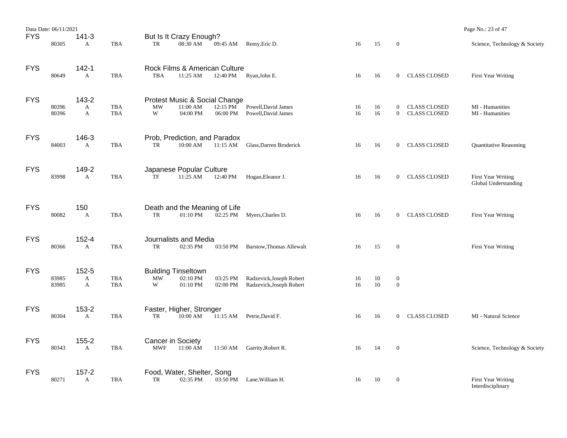|            | Data Date: 06/11/2021 |                            |                          |                                 |                                                           |                      |                                                      |          |          |                                  |                                            | Page No.: 23 of 47                         |
|------------|-----------------------|----------------------------|--------------------------|---------------------------------|-----------------------------------------------------------|----------------------|------------------------------------------------------|----------|----------|----------------------------------|--------------------------------------------|--------------------------------------------|
| <b>FYS</b> | 80305                 | 141-3<br>A                 | <b>TBA</b>               | TR                              | But Is It Crazy Enough?<br>08:30 AM                       | 09:45 AM             | Remy, Eric D.                                        | 16       | 15       | $\mathbf{0}$                     |                                            | Science, Technology & Society              |
| <b>FYS</b> | 80649                 | $142 - 1$<br>A             | TBA                      | TBA                             | Rock Films & American Culture<br>11:25 AM                 | 12:40 PM             | Ryan, John E.                                        | 16       | 16       | $\mathbf{0}$                     | <b>CLASS CLOSED</b>                        | First Year Writing                         |
| <b>FYS</b> | 80396<br>80396        | 143-2<br>A<br>$\mathbf{A}$ | TBA<br><b>TBA</b>        | <b>MW</b><br>W                  | Protest Music & Social Change<br>11:00 AM<br>04:00 PM     | 12:15 PM<br>06:00 PM | Powell, David James<br>Powell, David James           | 16<br>16 | 16<br>16 | $\overline{0}$<br>$\overline{0}$ | <b>CLASS CLOSED</b><br><b>CLASS CLOSED</b> | MI - Humanities<br>MI - Humanities         |
| <b>FYS</b> | 84003                 | 146-3<br>$\mathbf{A}$      | <b>TBA</b>               | TR                              | Prob, Prediction, and Paradox<br>10:00 AM                 | $11:15$ AM           | Glass, Darren Broderick                              | 16       | 16       | $\mathbf{0}$                     | <b>CLASS CLOSED</b>                        | <b>Quantitative Reasoning</b>              |
| <b>FYS</b> | 83998                 | 149-2<br>A                 | <b>TBA</b>               | TF                              | Japanese Popular Culture<br>11:25 AM                      | 12:40 PM             | Hogan, Eleanor J.                                    | 16       | 16       | $\overline{0}$                   | <b>CLASS CLOSED</b>                        | First Year Writing<br>Global Understanding |
| <b>FYS</b> | 80082                 | 150<br>A                   | <b>TBA</b>               | TR                              | Death and the Meaning of Life<br>$01\text{:}10\text{ PM}$ | 02:25 PM             | Myers, Charles D.                                    | 16       | 16       | $\boldsymbol{0}$                 | <b>CLASS CLOSED</b>                        | First Year Writing                         |
| <b>FYS</b> | 80366                 | 152-4<br>$\mathbf{A}$      | TBA                      | TR                              | Journalists and Media<br>02:35 PM                         | 03:50 PM             | <b>Barstow, Thomas Allewalt</b>                      | 16       | 15       | $\mathbf{0}$                     |                                            | First Year Writing                         |
| <b>FYS</b> | 83985<br>83985        | 152-5<br>A<br>$\mathbf{A}$ | <b>TBA</b><br><b>TBA</b> | <b>MW</b><br>W                  | <b>Building Tinseltown</b><br>02:10 PM<br>01:10 PM        | 03:25 PM<br>02:00 PM | Radzevick, Joseph Robert<br>Radzevick, Joseph Robert | 16<br>16 | 10<br>10 | $\mathbf{0}$<br>$\mathbf{0}$     |                                            |                                            |
| <b>FYS</b> | 80304                 | 153-2<br>$\mathbf{A}$      | <b>TBA</b>               | TR                              | Faster, Higher, Stronger<br>$10:00$ AM                    | $11:15$ AM           | Petrie, David F.                                     | 16       | 16       | $\overline{0}$                   | <b>CLASS CLOSED</b>                        | MI - Natural Science                       |
| <b>FYS</b> | 80343                 | 155-2<br>A                 | TBA                      | Cancer in Society<br><b>MWF</b> | $11:00$ AM                                                | 11:50 AM             | Garrity, Robert R.                                   | 16       | 14       | $\boldsymbol{0}$                 |                                            | Science, Technology & Society              |
| <b>FYS</b> | 80271                 | $157 - 2$<br>A             | TBA                      | TR                              | Food, Water, Shelter, Song<br>02:35 PM                    |                      | 03:50 PM Lane, William H.                            | 16       | 10       | $\mathbf{0}$                     |                                            | First Year Writing<br>Interdisciplinary    |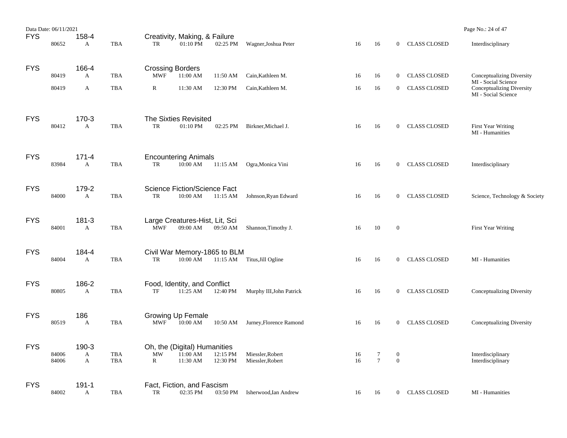|            | Data Date: 06/11/2021 |                 |                   |                                       |                                                      |                      |                                      |          |             |                              |                     | Page No.: 24 of 47                                                      |
|------------|-----------------------|-----------------|-------------------|---------------------------------------|------------------------------------------------------|----------------------|--------------------------------------|----------|-------------|------------------------------|---------------------|-------------------------------------------------------------------------|
| <b>FYS</b> | 80652                 | 158-4<br>A      | TBA               | TR                                    | Creativity, Making, & Failure<br>01:10 PM            | 02:25 PM             | Wagner, Joshua Peter                 | 16       | 16          |                              | 0 CLASS CLOSED      | Interdisciplinary                                                       |
| <b>FYS</b> | 80419                 | 166-4<br>A      | TBA               | <b>Crossing Borders</b><br><b>MWF</b> | 11:00 AM                                             | 11:50 AM             | Cain, Kathleen M.                    | 16       | 16          | $\overline{0}$               | <b>CLASS CLOSED</b> | <b>Conceptualizing Diversity</b>                                        |
|            | 80419                 | A               | TBA               | $\mathbb{R}$                          | 11:30 AM                                             | 12:30 PM             | Cain, Kathleen M.                    | 16       | 16          | $\overline{0}$               | <b>CLASS CLOSED</b> | MI - Social Science<br>Conceptualizing Diversity<br>MI - Social Science |
| <b>FYS</b> | 80412                 | $170-3$<br>A    | <b>TBA</b>        | TR                                    | The Sixties Revisited<br>01:10 PM                    | 02:25 PM             | Birkner, Michael J.                  | 16       | 16          |                              | 0 CLASS CLOSED      | First Year Writing<br>MI - Humanities                                   |
| <b>FYS</b> | 83984                 | $171 - 4$<br>A  | <b>TBA</b>        | TR                                    | <b>Encountering Animals</b><br>10:00 AM              | 11:15 AM             | Ogra, Monica Vini                    | 16       | 16          | $\overline{0}$               | <b>CLASS CLOSED</b> | Interdisciplinary                                                       |
| <b>FYS</b> | 84000                 | 179-2<br>A      | TBA               | TR                                    | Science Fiction/Science Fact<br>10:00 AM             | 11:15 AM             | Johnson, Ryan Edward                 | 16       | 16          |                              | 0 CLASS CLOSED      | Science, Technology & Society                                           |
| <b>FYS</b> | 84001                 | $181 - 3$<br>A  | <b>TBA</b>        | <b>MWF</b>                            | Large Creatures-Hist, Lit, Sci<br>09:00 AM           | 09:50 AM             | Shannon, Timothy J.                  | 16       | 10          | $\mathbf{0}$                 |                     | First Year Writing                                                      |
| <b>FYS</b> | 84004                 | 184-4<br>A      | TBA               | TR                                    | Civil War Memory-1865 to BLM<br>10:00 AM             |                      | 11:15 AM Titus, Jill Ogline          | 16       | 16          | $\overline{0}$               | <b>CLASS CLOSED</b> | MI - Humanities                                                         |
| <b>FYS</b> | 80805                 | 186-2<br>A      | <b>TBA</b>        | TF                                    | Food, Identity, and Conflict<br>$11:25$ AM           | 12:40 PM             | Murphy III, John Patrick             | 16       | 16          |                              | 0 CLASS CLOSED      | Conceptualizing Diversity                                               |
| <b>FYS</b> | 80519                 | 186<br>A        | <b>TBA</b>        | <b>MWF</b>                            | Growing Up Female<br>10:00 AM                        | 10:50 AM             | Jurney, Florence Ramond              | 16       | 16          | $\overline{0}$               | <b>CLASS CLOSED</b> | Conceptualizing Diversity                                               |
| <b>FYS</b> | 84006<br>84006        | 190-3<br>A<br>A | TBA<br><b>TBA</b> | <b>MW</b><br>R                        | Oh, the (Digital) Humanities<br>11:00 AM<br>11:30 AM | 12:15 PM<br>12:30 PM | Miessler, Robert<br>Miessler, Robert | 16<br>16 | 7<br>$\tau$ | $\mathbf{0}$<br>$\mathbf{0}$ |                     | Interdisciplinary<br>Interdisciplinary                                  |
| <b>FYS</b> | 84002                 | 191-1<br>A      | TBA               | TR                                    | Fact, Fiction, and Fascism<br>02:35 PM               | 03:50 PM             | Isherwood, Ian Andrew                | 16       | 16          | $\overline{0}$               | <b>CLASS CLOSED</b> | MI - Humanities                                                         |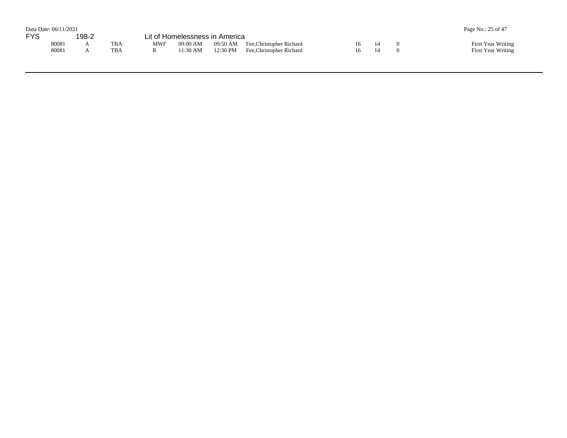|            | Data Date: 06/11/2021                   |  |            |     |          |          |                                   |    |    |  | Page No.: 25 of 47        |
|------------|-----------------------------------------|--|------------|-----|----------|----------|-----------------------------------|----|----|--|---------------------------|
| <b>FYS</b> | 198-2<br>Lit of Homelessness in America |  |            |     |          |          |                                   |    |    |  |                           |
|            | 80081                                   |  | <b>TBA</b> | MWF | 09:00 AM |          | 09:50 AM Fee, Christopher Richard | 16 | 14 |  | <b>First Year Writing</b> |
|            | 80081                                   |  | <b>TBA</b> |     | 11:30 AM | 12:30 PM | Fee, Christopher Richard          | 16 |    |  | First Year Writing        |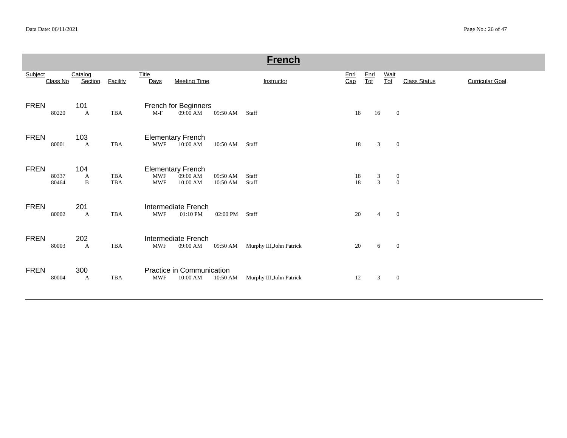|             |                |                                     |            |                                                                                             |                      | <b>French</b>                     |             |                    |                |                                  |                        |
|-------------|----------------|-------------------------------------|------------|---------------------------------------------------------------------------------------------|----------------------|-----------------------------------|-------------|--------------------|----------------|----------------------------------|------------------------|
| Subject     | Class No       | Catalog<br>Section                  | Facility   | <b>Title</b><br><b>Meeting Time</b><br>Days                                                 |                      | Instructor                        | Enrl<br>Cap | Enrl<br><b>Tot</b> | Wait<br>$Tot$  | <b>Class Status</b>              | <b>Curricular Goal</b> |
| <b>FREN</b> | 80220          | 101<br>$\mathbf{A}$                 | TBA        | French for Beginners<br>$M-F$<br>09:00 AM                                                   | 09:50 AM Staff       |                                   | 18          | 16                 |                | $\overline{0}$                   |                        |
| <b>FREN</b> | 80001          | 103<br>$\mathbf{A}$                 | TBA        | <b>Elementary French</b><br><b>MWF</b><br>$10:00$ AM                                        | 10:50 AM Staff       |                                   | 18          |                    | 3              | $\overline{0}$                   |                        |
| <b>FREN</b> | 80337<br>80464 | 104<br>$\mathbf{A}$<br>$\, {\bf B}$ | TBA<br>TBA | <b>Elementary French</b><br>$\ensuremath{\text{MWF}}$<br>09:00 AM<br><b>MWF</b><br>10:00 AM | 09:50 AM<br>10:50 AM | Staff<br>Staff                    | 18<br>18    |                    | $\frac{3}{3}$  | $\overline{0}$<br>$\overline{0}$ |                        |
| <b>FREN</b> | 80002          | 201<br>$\mathbf{A}$                 | <b>TBA</b> | Intermediate French<br><b>MWF</b><br>01:10 PM                                               | 02:00 PM             | Staff                             | 20          |                    | $\overline{4}$ | $\overline{0}$                   |                        |
| <b>FREN</b> | 80003          | 202<br>$\mathbf{A}$                 | TBA        | Intermediate French<br><b>MWF</b><br>09:00 AM                                               |                      | 09:50 AM Murphy III, John Patrick | 20          |                    | 6              | $\overline{0}$                   |                        |
| <b>FREN</b> | 80004          | 300<br>$\mathbf{A}$                 | TBA        | Practice in Communication<br><b>MWF</b><br>10:00 AM                                         | 10:50 AM             | Murphy III, John Patrick          | 12          |                    | 3              | $\overline{0}$                   |                        |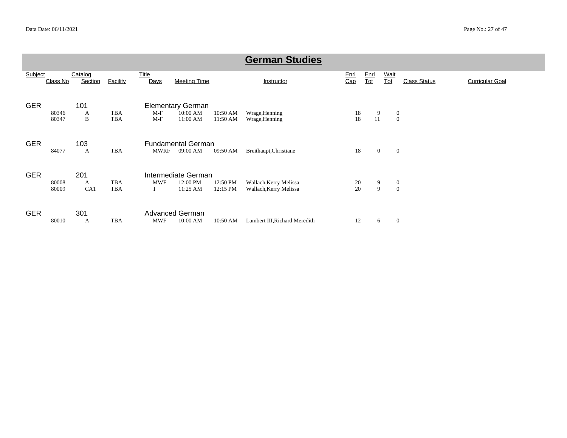|            |                |                          |                          |                            |                                                  |                      | <b>German Studies</b>                            |             |                           |                                  |                     |                        |  |
|------------|----------------|--------------------------|--------------------------|----------------------------|--------------------------------------------------|----------------------|--------------------------------------------------|-------------|---------------------------|----------------------------------|---------------------|------------------------|--|
| Subject    | Class No       | Catalog<br>Section       | <b>Facility</b>          | <b>Title</b><br>Days       | <b>Meeting Time</b>                              |                      | Instructor                                       | Enrl<br>Cap | <u>Enrl</u><br><b>Tot</b> | <b>Wait</b><br>$Tot$             | <b>Class Status</b> | <b>Curricular Goal</b> |  |
| <b>GER</b> | 80346<br>80347 | 101<br>A<br>$\, {\bf B}$ | <b>TBA</b><br><b>TBA</b> | $M-F$<br>$M-F$             | <b>Elementary German</b><br>10:00 AM<br>11:00 AM | 10:50 AM<br>11:50 AM | Wrage, Henning<br>Wrage, Henning                 | 18<br>18    | 9<br>11                   | $\overline{0}$<br>$\overline{0}$ |                     |                        |  |
| <b>GER</b> | 84077          | 103<br>A                 | <b>TBA</b>               | <b>MWRF</b>                | <b>Fundamental German</b><br>09:00 AM            | 09:50 AM             | Breithaupt, Christiane                           | 18          | $\Omega$                  | $\overline{0}$                   |                     |                        |  |
| <b>GER</b> | 80008<br>80009 | 201<br>A<br>CA1          | <b>TBA</b><br><b>TBA</b> | <b>MWF</b><br><sup>T</sup> | Intermediate German<br>12:00 PM<br>11:25 AM      | 12:50 PM<br>12:15 PM | Wallach, Kerry Melissa<br>Wallach, Kerry Melissa | 20<br>20    | 9<br>9                    | $\overline{0}$<br>$\overline{0}$ |                     |                        |  |
| <b>GER</b> | 80010          | 301<br>A                 | <b>TBA</b>               | <b>MWF</b>                 | <b>Advanced German</b><br>10:00 AM               | 10:50 AM             | Lambert III, Richard Meredith                    | 12          | 6                         | $\overline{0}$                   |                     |                        |  |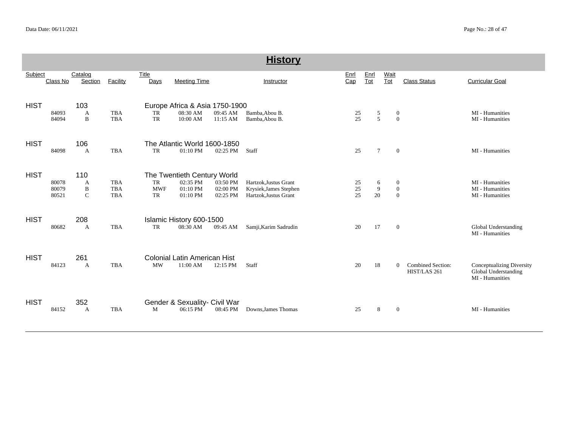|             |                |                     |                          |                                 |                                            |                      | <b>History</b>                                  |              |                    |                    |                              |                                          |                                                          |
|-------------|----------------|---------------------|--------------------------|---------------------------------|--------------------------------------------|----------------------|-------------------------------------------------|--------------|--------------------|--------------------|------------------------------|------------------------------------------|----------------------------------------------------------|
| Subject     | Class No       | Catalog<br>Section  | Facility                 | <b>Title</b><br>Days            | <b>Meeting Time</b>                        |                      | Instructor                                      | Enrl<br>Cap  | Enrl<br><b>Tot</b> | Wait<br><b>Tot</b> |                              | <b>Class Status</b>                      | <b>Curricular Goal</b>                                   |
|             |                |                     |                          |                                 |                                            |                      |                                                 |              |                    |                    |                              |                                          |                                                          |
| <b>HIST</b> | 84093          | 103<br>A            | <b>TBA</b>               | TR                              | Europe Africa & Asia 1750-1900<br>08:30 AM | 09:45 AM             | Bamba, Abou B.                                  | 25           |                    | 5                  | $\mathbf{0}$                 |                                          | MI - Humanities                                          |
|             | 84094          | B                   | <b>TBA</b>               | <b>TR</b>                       | 10:00 AM                                   | $11:15$ AM           | Bamba, Abou B.                                  | 25           |                    | $\overline{5}$     | $\theta$                     |                                          | MI - Humanities                                          |
|             |                |                     |                          |                                 |                                            |                      |                                                 |              |                    |                    |                              |                                          |                                                          |
| <b>HIST</b> | 84098          | 106<br>$\mathbf{A}$ | TBA                      | TR                              | The Atlantic World 1600-1850<br>01:10 PM   | 02:25 PM             | Staff                                           | 25           |                    | $\overline{7}$     | $\overline{0}$               |                                          | MI - Humanities                                          |
|             |                |                     |                          |                                 |                                            |                      |                                                 |              |                    |                    |                              |                                          |                                                          |
| <b>HIST</b> |                | 110                 |                          |                                 | The Twentieth Century World                |                      |                                                 |              |                    |                    |                              |                                          |                                                          |
|             | 80078          | A                   | <b>TBA</b><br><b>TBA</b> | ${\rm TR}$                      | 02:35 PM<br>01:10 PM                       | 03:50 PM             | Hartzok.Justus Grant                            | 25           |                    | 6                  | $\mathbf{0}$                 |                                          | MI - Humanities                                          |
|             | 80079<br>80521 | B<br>$\mathsf{C}$   | <b>TBA</b>               | $\ensuremath{\text{MWF}}$<br>TR | 01:10 PM                                   | 02:00 PM<br>02:25 PM | Krysiek, James Stephen<br>Hartzok, Justus Grant | $25\,$<br>25 |                    | 9<br>20            | $\mathbf{0}$<br>$\mathbf{0}$ |                                          | MI - Humanities<br>MI - Humanities                       |
|             |                |                     |                          |                                 |                                            |                      |                                                 |              |                    |                    |                              |                                          |                                                          |
| <b>HIST</b> |                | 208                 |                          |                                 | Islamic History 600-1500                   |                      |                                                 |              |                    |                    |                              |                                          |                                                          |
|             | 80682          | $\mathbf{A}$        | <b>TBA</b>               | TR                              | 08:30 AM                                   | 09:45 AM             | Samji, Karim Sadrudin                           | 20           |                    | 17                 | $\mathbf{0}$                 |                                          | Global Understanding<br>MI - Humanities                  |
|             |                |                     |                          |                                 |                                            |                      |                                                 |              |                    |                    |                              |                                          |                                                          |
| <b>HIST</b> |                | 261                 |                          |                                 | <b>Colonial Latin American Hist</b>        |                      |                                                 |              |                    |                    |                              |                                          |                                                          |
|             | 84123          | $\mathbf{A}$        | <b>TBA</b>               | <b>MW</b>                       | 11:00 AM                                   | 12:15 PM             | Staff                                           | 20           |                    | 18                 | $\overline{0}$               | <b>Combined Section:</b><br>HIST/LAS 261 | <b>Conceptualizing Diversity</b><br>Global Understanding |
|             |                |                     |                          |                                 |                                            |                      |                                                 |              |                    |                    |                              |                                          | MI - Humanities                                          |
|             |                |                     |                          |                                 |                                            |                      |                                                 |              |                    |                    |                              |                                          |                                                          |
|             | 84152          |                     | <b>TBA</b>               | M                               | 06:15 PM                                   |                      | Downs.James Thomas                              |              |                    |                    |                              |                                          | MI - Humanities                                          |
|             |                |                     |                          |                                 |                                            |                      |                                                 |              |                    |                    |                              |                                          |                                                          |
| <b>HIST</b> |                | 352<br>A            |                          |                                 | Gender & Sexuality- Civil War              | 08:45 PM             |                                                 | 25           |                    | 8                  | $\mathbf{0}$                 |                                          |                                                          |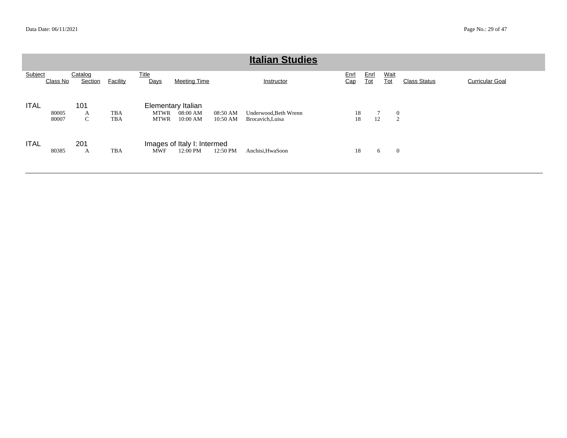|             |                |                    |                          |                      |                                            |                      | <b>Italian Studies</b>                    |                               |                           |                     |                     |                        |
|-------------|----------------|--------------------|--------------------------|----------------------|--------------------------------------------|----------------------|-------------------------------------------|-------------------------------|---------------------------|---------------------|---------------------|------------------------|
| Subject     | Class No       | Catalog<br>Section | Facility                 | <b>Title</b><br>Days | <b>Meeting Time</b>                        |                      | Instructor                                | <u>Enrl</u><br>$\mathsf{Cap}$ | <u>Enrl</u><br><b>Tot</b> | <u>Wait</u><br>Tot  | <b>Class Status</b> | <b>Curricular Goal</b> |
| <b>ITAL</b> | 80005<br>80007 | 101<br>A<br>C      | <b>TBA</b><br><b>TBA</b> | MTWR<br>MTWR         | Elementary Italian<br>08:00 AM<br>10:00 AM | 08:50 AM<br>10:50 AM | Underwood, Beth Wrenn<br>Brocavich, Luisa | 18<br>18                      | 12                        | $\overline{0}$<br>2 |                     |                        |
| <b>ITAL</b> | 80385          | 201<br>A           | <b>TBA</b>               | <b>MWF</b>           | Images of Italy I: Intermed<br>12:00 PM    | 12:50 PM             | Anchisi, HwaSoon                          | 18                            | 6                         | $\overline{0}$      |                     |                        |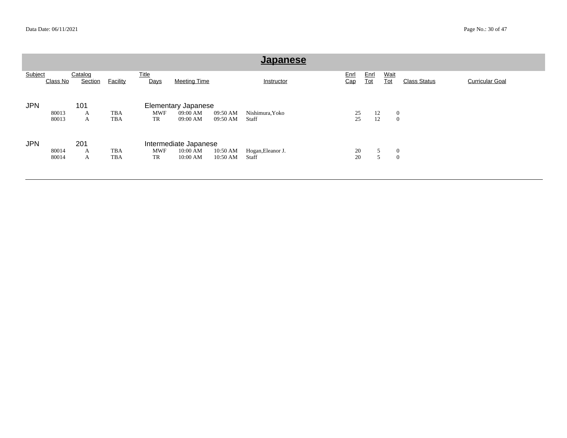|            |                |                    |                   |                      |                                                    |                      | <b>Japanese</b>            |                        |                    |                                |                     |                        |  |
|------------|----------------|--------------------|-------------------|----------------------|----------------------------------------------------|----------------------|----------------------------|------------------------|--------------------|--------------------------------|---------------------|------------------------|--|
| Subject    | Class No       | Catalog<br>Section | Facility          | <b>Title</b><br>Days | <b>Meeting Time</b>                                |                      | Instructor                 | Enrl<br>$\mathbf{Cap}$ | Enrl<br><b>Tot</b> | <u>Wait</u><br><b>Tot</b>      | <b>Class Status</b> | <b>Curricular Goal</b> |  |
| <b>JPN</b> | 80013<br>80013 | 101<br>A<br>A      | TBA<br>TBA        | <b>MWF</b><br>TR     | <b>Elementary Japanese</b><br>09:00 AM<br>09:00 AM | 09:50 AM<br>09:50 AM | Nishimura, Yoko<br>Staff   | 25<br>25               | 12<br>12           | $\mathbf{0}$<br>$\overline{0}$ |                     |                        |  |
| <b>JPN</b> | 80014<br>80014 | 201<br>A<br>A      | <b>TBA</b><br>TBA | <b>MWF</b><br>TR     | Intermediate Japanese<br>$10:00$ AM<br>10:00 AM    | 10:50 AM<br>10:50 AM | Hogan, Eleanor J.<br>Staff | 20<br>20               | 5<br>5             | $\mathbf{0}$<br>$\overline{0}$ |                     |                        |  |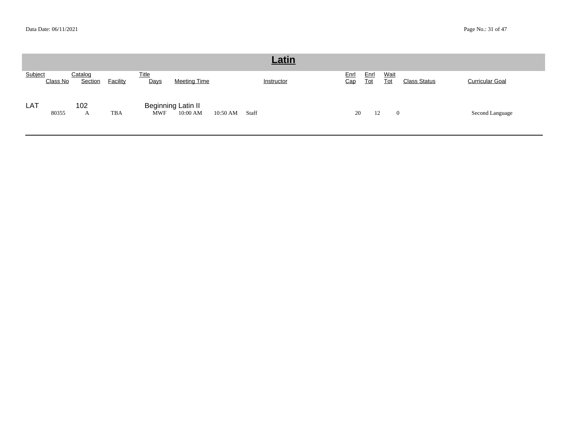|         |          |         |          |              |                                         |          | <b>Latin</b> |      |            |             |                     |                        |
|---------|----------|---------|----------|--------------|-----------------------------------------|----------|--------------|------|------------|-------------|---------------------|------------------------|
|         |          |         |          |              |                                         |          |              |      |            |             |                     |                        |
| Subject |          | Catalog |          | <b>Title</b> |                                         |          |              | Enrl | Enrl       | <u>Wait</u> |                     |                        |
|         | Class No | Section | Facility | <u>Days</u>  | <b>Meeting Time</b>                     |          | Instructor   | Cap  | <b>Tot</b> | <b>Tot</b>  | <b>Class Status</b> | <b>Curricular Goal</b> |
|         |          |         |          |              |                                         |          |              |      |            |             |                     |                        |
|         |          |         |          |              |                                         |          |              |      |            |             |                     |                        |
| LAT     | 80355    | 102     | TBA      | <b>MWF</b>   | <b>Beginning Latin II</b><br>$10:00$ AM | 10:50 AM | Staff        |      | 20         | 12          | $\overline{0}$      | Second Language        |
|         |          | A       |          |              |                                         |          |              |      |            |             |                     |                        |
|         |          |         |          |              |                                         |          |              |      |            |             |                     |                        |
|         |          |         |          |              |                                         |          |              |      |            |             |                     |                        |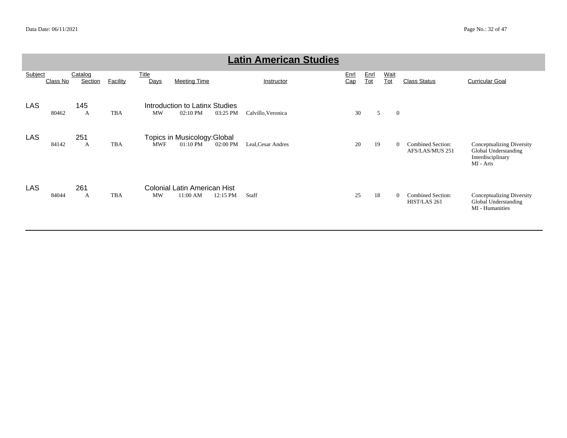|            | <b>Latin American Studies</b> |                    |            |                      |                                            |          |                    |                    |                    |                           |                                      |                                                                                     |
|------------|-------------------------------|--------------------|------------|----------------------|--------------------------------------------|----------|--------------------|--------------------|--------------------|---------------------------|--------------------------------------|-------------------------------------------------------------------------------------|
| Subject    | Class No                      | Catalog<br>Section | Facility   | <b>Title</b><br>Days | <b>Meeting Time</b>                        |          | Instructor         | <u>Enrl</u><br>Cap | Enrl<br><b>Tot</b> | <u>Wait</u><br><b>Tot</b> | <b>Class Status</b>                  | <b>Curricular Goal</b>                                                              |
| <b>LAS</b> | 80462                         | 145<br>A           | <b>TBA</b> | MW                   | Introduction to Latinx Studies<br>02:10 PM | 03:25 PM | Calvillo, Veronica | 30                 |                    | 5<br>$\overline{0}$       |                                      |                                                                                     |
| <b>LAS</b> | 84142                         | 251<br>A           | <b>TBA</b> | <b>MWF</b>           | Topics in Musicology: Global<br>01:10 PM   | 02:00 PM | Leal.Cesar Andres  | 20                 | 19                 | $\Omega$                  | Combined Section:<br>AFS/LAS/MUS 251 | Conceptualizing Diversity<br>Global Understanding<br>Interdisciplinary<br>MI - Arts |
| <b>LAS</b> | 84044                         | 261<br>A           | <b>TBA</b> | <b>MW</b>            | Colonial Latin American Hist<br>11:00 AM   | 12:15 PM | Staff              | 25                 |                    | 18<br>$\Omega$            | Combined Section:<br>HIST/LAS 261    | Conceptualizing Diversity<br>Global Understanding<br>MI - Humanities                |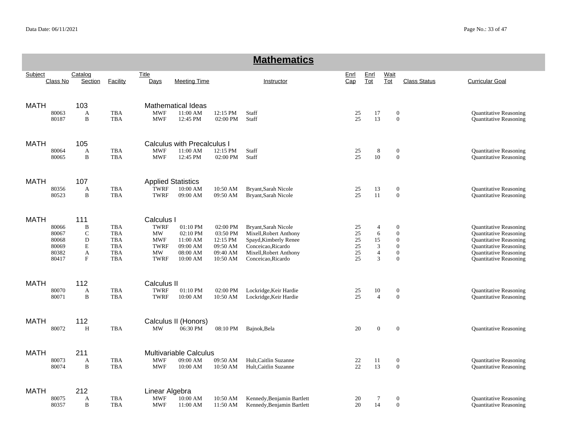|             |                                                    |                                                                              |                                                                           |                                                                                   |                                                                      |                                                                      | <b>Mathematics</b>                                                                                                                            |                                  |                                                                    |                                                                                                        |                     |                                                                                                                                                                                                    |
|-------------|----------------------------------------------------|------------------------------------------------------------------------------|---------------------------------------------------------------------------|-----------------------------------------------------------------------------------|----------------------------------------------------------------------|----------------------------------------------------------------------|-----------------------------------------------------------------------------------------------------------------------------------------------|----------------------------------|--------------------------------------------------------------------|--------------------------------------------------------------------------------------------------------|---------------------|----------------------------------------------------------------------------------------------------------------------------------------------------------------------------------------------------|
| Subject     | Class No                                           | Catalog<br>Section                                                           | Facility                                                                  | Title<br>Days                                                                     | <b>Meeting Time</b>                                                  |                                                                      | Instructor                                                                                                                                    | Enrl<br>Cap                      | <b>Enrl</b><br>Tot                                                 | Wait<br><b>Tot</b>                                                                                     | <b>Class Status</b> | <b>Curricular Goal</b>                                                                                                                                                                             |
| <b>MATH</b> | 80063<br>80187                                     | 103<br>$\mathbf{A}$<br>$\, {\bf B}$                                          | <b>TBA</b><br><b>TBA</b>                                                  | <b>MWF</b><br><b>MWF</b>                                                          | <b>Mathematical Ideas</b><br>11:00 AM<br>12:45 PM                    | 12:15 PM<br>02:00 PM                                                 | Staff<br>Staff                                                                                                                                | 25<br>25                         | 17<br>13                                                           | $\mathbf{0}$<br>$\mathbf{0}$                                                                           |                     | <b>Quantitative Reasoning</b><br>Quantitative Reasoning                                                                                                                                            |
| <b>MATH</b> | 80064<br>80065                                     | 105<br>A<br>$\, {\bf B}$                                                     | <b>TBA</b><br><b>TBA</b>                                                  | <b>MWF</b><br><b>MWF</b>                                                          | <b>Calculus with Precalculus I</b><br>11:00 AM<br>12:45 PM           | 12:15 PM<br>02:00 PM                                                 | Staff<br>Staff                                                                                                                                | 25<br>25                         | 8<br>10                                                            | $\mathbf{0}$<br>$\mathbf{0}$                                                                           |                     | <b>Quantitative Reasoning</b><br><b>Quantitative Reasoning</b>                                                                                                                                     |
| <b>MATH</b> | 80356<br>80523                                     | 107<br>$\mathbf{A}$<br>B                                                     | <b>TBA</b><br><b>TBA</b>                                                  | <b>TWRF</b><br>TWRF                                                               | <b>Applied Statistics</b><br>10:00 AM<br>09:00 AM                    | 10:50 AM<br>09:50 AM                                                 | Bryant, Sarah Nicole<br>Bryant, Sarah Nicole                                                                                                  | 25<br>25                         | 13<br>11                                                           | $\boldsymbol{0}$<br>$\mathbf{0}$                                                                       |                     | <b>Quantitative Reasoning</b><br><b>Quantitative Reasoning</b>                                                                                                                                     |
| <b>MATH</b> | 80066<br>80067<br>80068<br>80069<br>80382<br>80417 | 111<br>$\, {\bf B}$<br>C<br>${\rm D}$<br>E<br>A<br>$\boldsymbol{\mathrm{F}}$ | <b>TBA</b><br><b>TBA</b><br>TBA<br><b>TBA</b><br><b>TBA</b><br><b>TBA</b> | Calculus I<br><b>TWRF</b><br><b>MW</b><br><b>MWF</b><br>TWRF<br><b>MW</b><br>TWRF | 01:10 PM<br>02:10 PM<br>11:00 AM<br>09:00 AM<br>08:00 AM<br>10:00 AM | 02:00 PM<br>03:50 PM<br>12:15 PM<br>09:50 AM<br>09:40 AM<br>10:50 AM | Bryant, Sarah Nicole<br>Mixell, Robert Anthony<br>Spayd, Kimberly Renee<br>Conceicao, Ricardo<br>Mixell, Robert Anthony<br>Conceicao, Ricardo | 25<br>25<br>25<br>25<br>25<br>25 | $\overline{4}$<br>6<br>15<br>$\mathfrak{Z}$<br>$\overline{4}$<br>3 | $\boldsymbol{0}$<br>$\mathbf{0}$<br>$\overline{0}$<br>$\mathbf{0}$<br>$\mathbf{0}$<br>$\boldsymbol{0}$ |                     | <b>Quantitative Reasoning</b><br><b>Quantitative Reasoning</b><br><b>Quantitative Reasoning</b><br><b>Quantitative Reasoning</b><br><b>Quantitative Reasoning</b><br><b>Quantitative Reasoning</b> |
| <b>MATH</b> | 80070<br>80071                                     | 112<br>A<br>$\, {\bf B}$                                                     | <b>TBA</b><br><b>TBA</b>                                                  | Calculus II<br>TWRF<br><b>TWRF</b>                                                | 01:10 PM<br>10:00 AM                                                 | 02:00 PM<br>10:50 AM                                                 | Lockridge, Keir Hardie<br>Lockridge, Keir Hardie                                                                                              | 25<br>25                         | 10<br>$\overline{4}$                                               | $\mathbf{0}$<br>$\mathbf{0}$                                                                           |                     | <b>Quantitative Reasoning</b><br><b>Quantitative Reasoning</b>                                                                                                                                     |
| <b>MATH</b> | 80072                                              | 112<br>H                                                                     | <b>TBA</b>                                                                | MW                                                                                | Calculus II (Honors)<br>06:30 PM                                     | 08:10 PM                                                             | Bajnok, Bela                                                                                                                                  | 20                               | $\theta$                                                           | $\mathbf{0}$                                                                                           |                     | <b>Quantitative Reasoning</b>                                                                                                                                                                      |
| <b>MATH</b> | 80073<br>80074                                     | 211<br>A<br>$\, {\bf B}$                                                     | <b>TBA</b><br><b>TBA</b>                                                  | <b>MWF</b><br><b>MWF</b>                                                          | <b>Multivariable Calculus</b><br>09:00 AM<br>10:00 AM                | 09:50 AM<br>10:50 AM                                                 | Hult, Caitlin Suzanne<br>Hult.Caitlin Suzanne                                                                                                 | 22<br>22                         | 11<br>13                                                           | $\boldsymbol{0}$<br>$\mathbf{0}$                                                                       |                     | <b>Quantitative Reasoning</b><br><b>Quantitative Reasoning</b>                                                                                                                                     |
| <b>MATH</b> | 80075<br>80357                                     | 212<br>A<br>$\, {\bf B}$                                                     | <b>TBA</b><br><b>TBA</b>                                                  | Linear Algebra<br><b>MWF</b><br><b>MWF</b>                                        | 10:00 AM<br>11:00 AM                                                 | 10:50 AM<br>11:50 AM                                                 | Kennedy, Benjamin Bartlett<br>Kennedy, Benjamin Bartlett                                                                                      | 20<br>20                         | $\overline{7}$<br>14                                               | $\boldsymbol{0}$<br>$\overline{0}$                                                                     |                     | <b>Quantitative Reasoning</b><br><b>Quantitative Reasoning</b>                                                                                                                                     |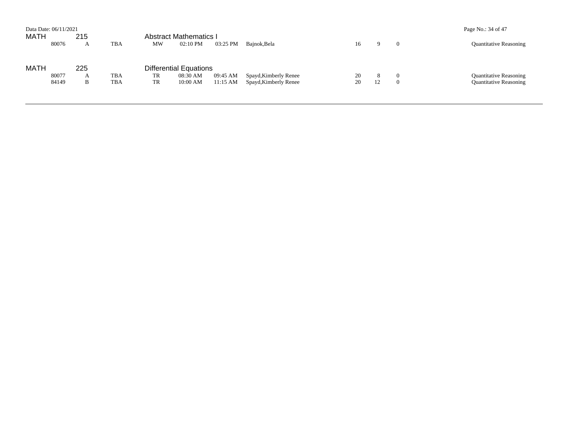| Data Date: 06/11/2021 |     |     |           |                               |          |                       |    |    |          | Page No.: 34 of 47            |
|-----------------------|-----|-----|-----------|-------------------------------|----------|-----------------------|----|----|----------|-------------------------------|
| <b>MATH</b>           | 215 |     |           | <b>Abstract Mathematics I</b> |          |                       |    |    |          |                               |
| 80076                 | A   | TBA | MW        | 02:10 PM                      | 03:25 PM | Bajnok, Bela          | 16 | -9 | $\Omega$ | <b>Quantitative Reasoning</b> |
|                       |     |     |           |                               |          |                       |    |    |          |                               |
| MATH                  | 225 |     |           | <b>Differential Equations</b> |          |                       |    |    |          |                               |
| 80077                 | A   | TBA | <b>TR</b> | 08:30 AM                      | 09:45 AM | Spayd, Kimberly Renee | 20 | 8  | $\Omega$ | <b>Quantitative Reasoning</b> |
| 84149                 | B   | TBA | TR        | 10:00 AM                      | 11:15 AM | Spayd, Kimberly Renee | 20 | 12 | $\Omega$ | <b>Quantitative Reasoning</b> |
|                       |     |     |           |                               |          |                       |    |    |          |                               |
|                       |     |     |           |                               |          |                       |    |    |          |                               |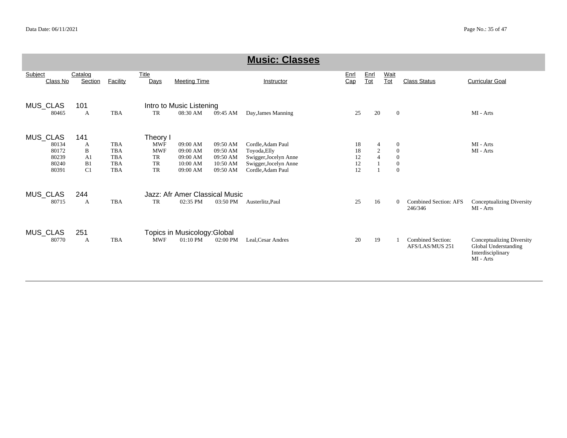|                                                       |                                                                    |                                                                    |                                                        |                                                              |                                                          | <b>Music: Classes</b>                                                                                  |                            |                                                |                                                                                                |                                                    |                                                                                            |
|-------------------------------------------------------|--------------------------------------------------------------------|--------------------------------------------------------------------|--------------------------------------------------------|--------------------------------------------------------------|----------------------------------------------------------|--------------------------------------------------------------------------------------------------------|----------------------------|------------------------------------------------|------------------------------------------------------------------------------------------------|----------------------------------------------------|--------------------------------------------------------------------------------------------|
|                                                       |                                                                    |                                                                    |                                                        |                                                              |                                                          |                                                                                                        |                            |                                                |                                                                                                |                                                    |                                                                                            |
| Subject<br>Class No                                   | Catalog<br>Section                                                 | Facility                                                           | <b>Title</b><br>Days                                   | <b>Meeting Time</b>                                          |                                                          | Instructor                                                                                             | Enrl<br>Cap                | Enrl<br><b>Tot</b>                             | Wait<br><b>Tot</b>                                                                             | <b>Class Status</b>                                | <b>Curricular Goal</b>                                                                     |
| MUS_CLAS<br>80465                                     | 101<br>A                                                           | <b>TBA</b>                                                         | TR                                                     | Intro to Music Listening<br>08:30 AM                         | 09:45 AM                                                 | Day, James Manning                                                                                     | 25                         | 20                                             | $\overline{0}$                                                                                 |                                                    | MI - Arts                                                                                  |
| MUS_CLAS<br>80134<br>80172<br>80239<br>80240<br>80391 | 141<br>A<br>$\, {\bf B}$<br>A <sub>1</sub><br>B1<br>C <sub>1</sub> | <b>TBA</b><br><b>TBA</b><br><b>TBA</b><br><b>TBA</b><br><b>TBA</b> | Theory I<br><b>MWF</b><br><b>MWF</b><br>TR<br>TR<br>TR | $09:00$ AM<br>09:00 AM<br>09:00 AM<br>$10:00$ AM<br>09:00 AM | 09:50 AM<br>09:50 AM<br>09:50 AM<br>10:50 AM<br>09:50 AM | Cordle.Adam Paul<br>Toyoda, Elly<br>Swigger, Jocelyn Anne<br>Swigger, Jocelyn Anne<br>Cordle.Adam Paul | 18<br>18<br>12<br>12<br>12 | $\overline{4}$<br>$\sqrt{2}$<br>$\overline{4}$ | $\boldsymbol{0}$<br>$\boldsymbol{0}$<br>$\boldsymbol{0}$<br>$\boldsymbol{0}$<br>$\overline{0}$ |                                                    | MI - Arts<br>MI - Arts                                                                     |
| MUS_CLAS<br>80715                                     | 244<br>A                                                           | <b>TBA</b>                                                         | TR                                                     | Jazz: Afr Amer Classical Music<br>02:35 PM                   | 03:50 PM                                                 | Austerlitz, Paul                                                                                       | 25                         | 16                                             |                                                                                                | $\overline{0}$<br>Combined Section: AFS<br>246/346 | <b>Conceptualizing Diversity</b><br>MI - Arts                                              |
| MUS_CLAS<br>80770                                     | 251<br>A                                                           | <b>TBA</b>                                                         | <b>MWF</b>                                             | Topics in Musicology: Global<br>$01:10$ PM                   | 02:00 PM                                                 | Leal.Cesar Andres                                                                                      | 20                         | 19                                             |                                                                                                | Combined Section:<br>AFS/LAS/MUS 251               | <b>Conceptualizing Diversity</b><br>Global Understanding<br>Interdisciplinary<br>MI - Arts |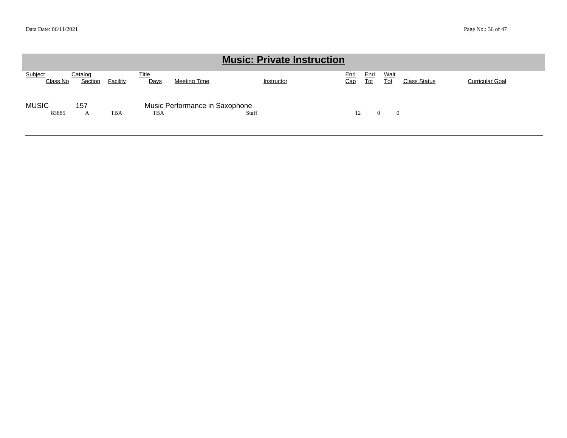|                       | <b>Music: Private Instruction</b> |          |                                       |            |                                                                                 |                 |  |  |  |  |  |  |  |
|-----------------------|-----------------------------------|----------|---------------------------------------|------------|---------------------------------------------------------------------------------|-----------------|--|--|--|--|--|--|--|
| Subject<br>Class No   | Catalog<br>Section                | Facility | Title<br><b>Meeting Time</b><br>Days  | Instructor | Enrl<br>Enr<br><b>Wait</b><br>$Tot$<br><b>Tot</b><br><b>Class Status</b><br>Cap | Curricular Goal |  |  |  |  |  |  |  |
| <b>MUSIC</b><br>83885 | 157<br>A                          | TBA      | Music Performance in Saxophone<br>TBA | Staff      | 12<br>$\overline{0}$<br>$\Omega$                                                |                 |  |  |  |  |  |  |  |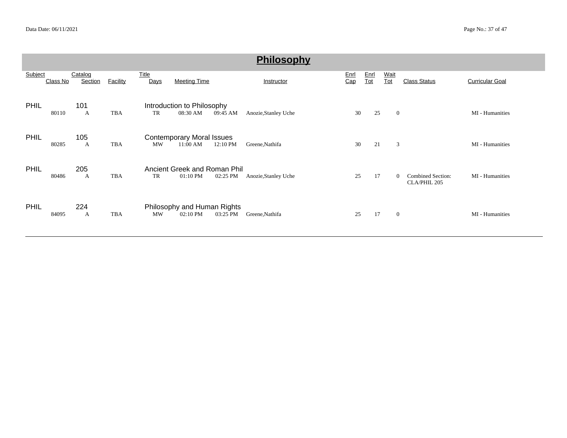|             |          |                    |                 |                      |                                                                    | <b>Philosophy</b>    |                           |                             |                                                      |                        |
|-------------|----------|--------------------|-----------------|----------------------|--------------------------------------------------------------------|----------------------|---------------------------|-----------------------------|------------------------------------------------------|------------------------|
| Subject     | Class No | Catalog<br>Section | <b>Facility</b> | <b>Title</b><br>Days | <b>Meeting Time</b>                                                | Instructor           | Enrl<br>$\underline{Cap}$ | Enrl<br><b>Tot</b><br>$Tot$ | <b>Wait</b><br><b>Class Status</b>                   | <b>Curricular Goal</b> |
| PHIL        | 80110    | 101<br>A           | <b>TBA</b>      | TR                   | Introduction to Philosophy<br>08:30 AM<br>09:45 AM                 | Anozie, Stanley Uche | 30                        | 25                          | $\overline{0}$                                       | MI - Humanities        |
| PHIL        | 80285    | 105<br>A           | <b>TBA</b>      | <b>MW</b>            | <b>Contemporary Moral Issues</b><br>$11:00 \text{ AM}$<br>12:10 PM | Greene, Nathifa      | 30                        | 21                          | $\overline{3}$                                       | MI - Humanities        |
| <b>PHIL</b> | 80486    | 205<br>A           | TBA             | TR                   | Ancient Greek and Roman Phil<br>01:10 PM<br>02:25 PM               | Anozie, Stanley Uche | 25                        | 17                          | <b>Combined Section:</b><br>$\Omega$<br>CLA/PHIL 205 | MI - Humanities        |
| PHIL        | 84095    | 224<br>A           | TBA             | <b>MW</b>            | Philosophy and Human Rights<br>02:10 PM<br>03:25 PM                | Greene, Nathifa      | 25                        | 17                          | $\mathbf{0}$                                         | MI - Humanities        |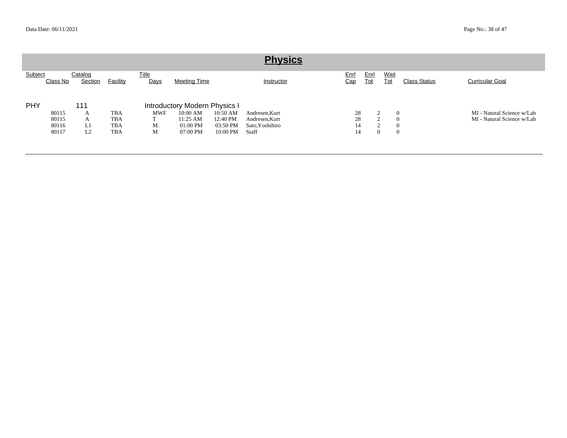|                                                |                                       |                                 |                      |                                                                                     |                                              | <b>Physics</b>                                               |                           |                      |                           |                                                    |                                                          |
|------------------------------------------------|---------------------------------------|---------------------------------|----------------------|-------------------------------------------------------------------------------------|----------------------------------------------|--------------------------------------------------------------|---------------------------|----------------------|---------------------------|----------------------------------------------------|----------------------------------------------------------|
| Subject<br>Class No                            | Catalog<br>Section                    | Facility                        | <u>Title</u><br>Days | <b>Meeting Time</b>                                                                 |                                              | Instructor                                                   | <b>Enrl</b><br><u>Cap</u> | <u>Enrl</u><br>$Tot$ | <u>Wait</u><br><b>Tot</b> | <b>Class Status</b>                                | <b>Curricular Goal</b>                                   |
| <b>PHY</b><br>80115<br>80115<br>80116<br>80117 | 111<br>A<br>A<br>L1<br>L <sub>2</sub> | <b>TBA</b><br>TBA<br>TBA<br>TBA | <b>MWF</b><br>М<br>M | Introductory Modern Physics I<br>$10:00$ AM<br>$11:25$ AM<br>$01:00$ PM<br>07:00 PM | 10:50 AM<br>12:40 PM<br>03:50 PM<br>10:00 PM | Andresen, Kurt<br>Andresen, Kurt<br>Sato, Yoshihiro<br>Staff | 28<br>28<br>14<br>14      | $\gamma$<br>$\Omega$ | $\Omega$                  | $\Omega$<br>$\Omega$<br>$\Omega$<br>$\overline{0}$ | MI - Natural Science w/Lab<br>MI - Natural Science w/Lab |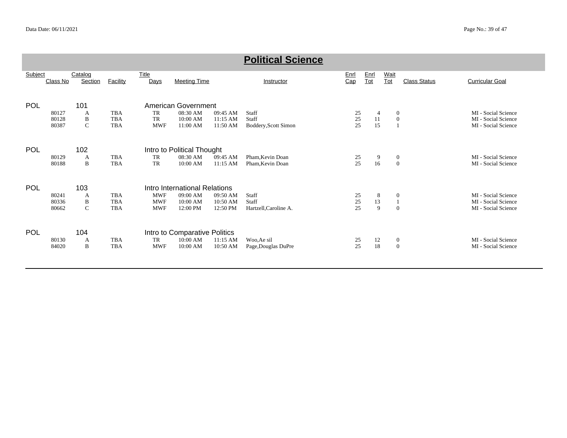|            |          |              |            |              |                               |          | <b>Political Science</b> |                 |                                        |             |                     |                        |
|------------|----------|--------------|------------|--------------|-------------------------------|----------|--------------------------|-----------------|----------------------------------------|-------------|---------------------|------------------------|
|            |          |              |            |              |                               |          |                          |                 |                                        |             |                     |                        |
| Subject    |          | Catalog      |            | <b>Title</b> |                               |          |                          | Enrl            | Enrl                                   | <b>Wait</b> |                     |                        |
|            | Class No | Section      | Facility   | Days         | <b>Meeting Time</b>           |          | Instructor               | Cap             | $\overline{\text{Tot}}$                | <b>Tot</b>  | <b>Class Status</b> | <b>Curricular Goal</b> |
|            |          |              |            |              |                               |          |                          |                 |                                        |             |                     |                        |
|            |          |              |            |              |                               |          |                          |                 |                                        |             |                     |                        |
| <b>POL</b> |          | 101          |            |              | American Government           |          |                          |                 |                                        |             |                     |                        |
|            | 80127    | A            | <b>TBA</b> | TR           | 08:30 AM                      | 09:45 AM | Staff                    | 25              | $\overline{4}$                         |             | $\overline{0}$      | MI - Social Science    |
|            | 80128    | $\, {\bf B}$ | <b>TBA</b> | TR           | $10:00$ AM                    | 11:15 AM | Staff                    | 25              | 11                                     |             | $\mathbf{0}$        | MI - Social Science    |
|            | 80387    | $\mathsf{C}$ | <b>TBA</b> | <b>MWF</b>   | 11:00 AM                      | 11:50 AM | Boddery, Scott Simon     | 25              | 15                                     |             |                     | MI - Social Science    |
|            |          |              |            |              |                               |          |                          |                 |                                        |             |                     |                        |
|            |          |              |            |              |                               |          |                          |                 |                                        |             |                     |                        |
|            |          |              |            |              |                               |          |                          |                 |                                        |             |                     |                        |
| <b>POL</b> |          | 102          |            |              | Intro to Political Thought    |          |                          |                 |                                        |             |                     |                        |
|            | 80129    | A            | <b>TBA</b> | <b>TR</b>    | 08:30 AM                      | 09:45 AM | Pham.Kevin Doan          | 25              | 9                                      |             | $\overline{0}$      | MI - Social Science    |
|            | 80188    | $\mathbf{B}$ | <b>TBA</b> | <b>TR</b>    | $10:00$ AM                    | 11:15 AM | Pham, Kevin Doan         | 25              | 16                                     |             | $\mathbf{0}$        | MI - Social Science    |
|            |          |              |            |              |                               |          |                          |                 |                                        |             |                     |                        |
|            |          |              |            |              |                               |          |                          |                 |                                        |             |                     |                        |
| POL        |          | 103          |            |              | Intro International Relations |          |                          |                 |                                        |             |                     |                        |
|            | 80241    | A            | <b>TBA</b> | <b>MWF</b>   | 09:00 AM                      | 09:50 AM | Staff                    | 25              | 8                                      |             | $\boldsymbol{0}$    | MI - Social Science    |
|            | 80336    | $\, {\bf B}$ | <b>TBA</b> | <b>MWF</b>   | 10:00 AM                      | 10:50 AM | Staff                    | $\frac{25}{25}$ | $\begin{array}{c} 13 \\ 9 \end{array}$ |             |                     | MI - Social Science    |
|            | 80662    | $\mathsf{C}$ | <b>TBA</b> | <b>MWF</b>   | 12:00 PM                      | 12:50 PM | Hartzell, Caroline A.    |                 |                                        |             | $\Omega$            | MI - Social Science    |
|            |          |              |            |              |                               |          |                          |                 |                                        |             |                     |                        |
|            |          |              |            |              |                               |          |                          |                 |                                        |             |                     |                        |
| <b>POL</b> |          | 104          |            |              | Intro to Comparative Politics |          |                          |                 |                                        |             |                     |                        |
|            | 80130    | A            | <b>TBA</b> | <b>TR</b>    | $10:00$ AM                    | 11:15 AM | Woo, Ae sil              | 25              | 12                                     |             | $\mathbf{0}$        | MI - Social Science    |
|            | 84020    | B            | <b>TBA</b> | <b>MWF</b>   | 10:00 AM                      | 10:50 AM | Page, Douglas DuPre      | 25              | 18                                     |             | $\mathbf{0}$        | MI - Social Science    |
|            |          |              |            |              |                               |          |                          |                 |                                        |             |                     |                        |
|            |          |              |            |              |                               |          |                          |                 |                                        |             |                     |                        |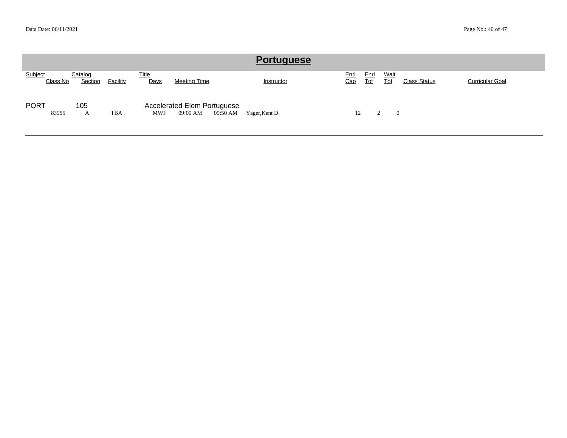|                      |                    |          |                      |                                         | <b>Portuguese</b>          |                           |                    |                           |                     |                        |
|----------------------|--------------------|----------|----------------------|-----------------------------------------|----------------------------|---------------------------|--------------------|---------------------------|---------------------|------------------------|
| Subject<br>Class No  | Catalog<br>Section | Facility | <u>Title</u><br>Days | <b>Meeting Time</b>                     | Instructor                 | <u>Enrl</u><br><u>Cap</u> | Enrl<br><b>Tot</b> | <u>Wait</u><br><b>Tot</b> | <b>Class Status</b> | <b>Curricular Goal</b> |
| <b>PORT</b><br>83955 | 105<br>A           | TBA      | <b>MWF</b>           | Accelerated Elem Portuguese<br>09:00 AM | 09:50 AM<br>Yager, Kent D. | 12                        |                    | $\overline{0}$            |                     |                        |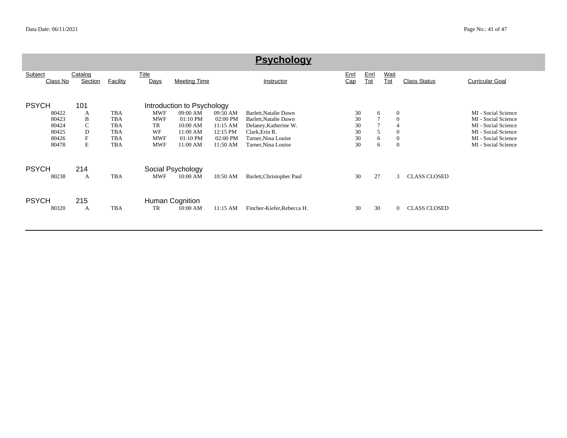|              |                           |            |              |                            |          | <b>Psychology</b>          |        |                |                |                     |                        |
|--------------|---------------------------|------------|--------------|----------------------------|----------|----------------------------|--------|----------------|----------------|---------------------|------------------------|
|              |                           |            |              |                            |          |                            |        |                |                |                     |                        |
| Subject      | Catalog                   |            | <b>Title</b> |                            |          |                            | Enrl   | Enrl           | <b>Wait</b>    |                     |                        |
| Class No     | Section                   | Facility   | Days         | <b>Meeting Time</b>        |          | Instructor                 | Cap    | <b>Tot</b>     | <b>Tot</b>     | <b>Class Status</b> | <b>Curricular Goal</b> |
|              |                           |            |              |                            |          |                            |        |                |                |                     |                        |
|              |                           |            |              |                            |          |                            |        |                |                |                     |                        |
| <b>PSYCH</b> | 101                       |            |              | Introduction to Psychology |          |                            |        |                |                |                     |                        |
| 80422        | A                         | TBA        | <b>MWF</b>   | 09:00 AM                   | 09:50 AM | Barlett, Natalie Dawn      | 30     | 6              | $\mathbf{0}$   |                     | MI - Social Science    |
| 80423        | B                         | <b>TBA</b> | <b>MWF</b>   | $01:10$ PM                 | 02:00 PM | Barlett, Natalie Dawn      | 30     | $\overline{7}$ | $\mathbf{0}$   |                     | MI - Social Science    |
| 80424        | $\mathsf{C}$              | <b>TBA</b> | TR           | 10:00 AM                   | 11:15 AM | Delaney, Katherine W.      | $30\,$ | $\overline{7}$ | $\overline{4}$ |                     | MI - Social Science    |
| 80425        | D                         | <b>TBA</b> | WF           | $11:00$ AM                 | 12:15 PM | Clark, Erin R.             | 30     | 5              | $\mathbf{0}$   |                     | MI - Social Science    |
| 80426        | $\boldsymbol{\mathrm{F}}$ | TBA        | <b>MWF</b>   | $01:10$ PM                 | 02:00 PM | Tarner, Nina Louise        | 30     | 6              | $\mathbf{0}$   |                     | MI - Social Science    |
| 80478        | E                         | <b>TBA</b> | <b>MWF</b>   | 11:00 AM                   | 11:50 AM | Tarner, Nina Louise        | 30     | 6              | $\overline{0}$ |                     | MI - Social Science    |
|              |                           |            |              |                            |          |                            |        |                |                |                     |                        |
|              |                           |            |              |                            |          |                            |        |                |                |                     |                        |
| <b>PSYCH</b> | 214                       |            |              | Social Psychology          |          |                            |        |                |                |                     |                        |
| 80238        | A                         | <b>TBA</b> | <b>MWF</b>   | 10:00 AM                   | 10:50 AM | Barlett, Christopher Paul  | 30     | 27             | $\mathcal{F}$  | <b>CLASS CLOSED</b> |                        |
|              |                           |            |              |                            |          |                            |        |                |                |                     |                        |
|              |                           |            |              |                            |          |                            |        |                |                |                     |                        |
| <b>PSYCH</b> | 215                       |            |              | Human Cognition            |          |                            |        |                |                |                     |                        |
| 80320        | A                         | <b>TBA</b> | TR           | 10:00 AM                   | 11:15 AM | Fincher-Kiefer, Rebecca H. | 30     | 30             | $\Omega$       | <b>CLASS CLOSED</b> |                        |
|              |                           |            |              |                            |          |                            |        |                |                |                     |                        |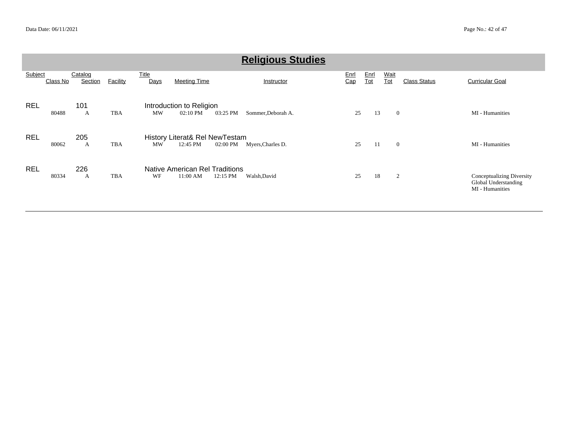|            |          |                    |                 |                      |                                              |          | <b>Religious Studies</b> |                    |                    |                    |                     |                                                                             |
|------------|----------|--------------------|-----------------|----------------------|----------------------------------------------|----------|--------------------------|--------------------|--------------------|--------------------|---------------------|-----------------------------------------------------------------------------|
| Subject    | Class No | Catalog<br>Section | <b>Facility</b> | <u>Title</u><br>Days | <b>Meeting Time</b>                          |          | Instructor               | <b>Enrl</b><br>Cap | Enrl<br><b>Tot</b> | <u>Wait</u><br>Tot | <b>Class Status</b> | <b>Curricular Goal</b>                                                      |
| <b>REL</b> | 80488    | 101<br>A           | <b>TBA</b>      | <b>MW</b>            | Introduction to Religion<br>$02:10$ PM       | 03:25 PM | Sommer, Deborah A.       | 25                 | 13                 |                    | $\overline{0}$      | MI - Humanities                                                             |
| <b>REL</b> | 80062    | 205<br>A           | <b>TBA</b>      | MW                   | History Literat& Rel NewTestam<br>12:45 PM   | 02:00 PM | Myers, Charles D.        | 25                 | -11                |                    | $\overline{0}$      | MI - Humanities                                                             |
| <b>REL</b> | 80334    | 226<br>A           | <b>TBA</b>      | WF                   | Native American Rel Traditions<br>$11:00$ AM | 12:15 PM | Walsh, David             | 25                 | 18                 |                    | 2                   | <b>Conceptualizing Diversity</b><br>Global Understanding<br>MI - Humanities |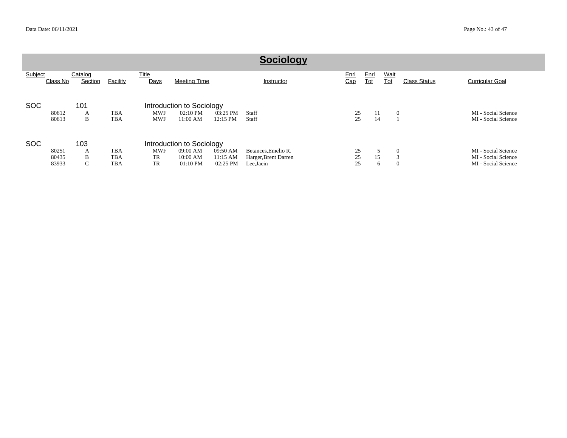|            |          |             |            |              |                           |          | <b>Sociology</b>     |             |            |                            |                        |
|------------|----------|-------------|------------|--------------|---------------------------|----------|----------------------|-------------|------------|----------------------------|------------------------|
|            |          |             |            |              |                           |          |                      |             |            |                            |                        |
| Subject    |          | Catalog     |            | <u>Title</u> |                           |          |                      | <u>Enrl</u> | Enrl       | <u>Wait</u>                |                        |
|            | Class No | Section     | Facility   | <u>Days</u>  | <b>Meeting Time</b>       |          | Instructor           | Cap         | <b>Tot</b> | Tot<br><b>Class Status</b> | <b>Curricular Goal</b> |
|            |          |             |            |              |                           |          |                      |             |            |                            |                        |
|            |          |             |            |              |                           |          |                      |             |            |                            |                        |
| <b>SOC</b> |          | 101         |            |              |                           |          |                      |             |            |                            |                        |
|            |          |             |            |              | Introduction to Sociology |          |                      |             |            |                            |                        |
|            | 80612    | A           | <b>TBA</b> | <b>MWF</b>   | 02:10 PM                  | 03:25 PM | Staff                | 25          | 11         | $\bf{0}$                   | MI - Social Science    |
|            | 80613    | B           | <b>TBA</b> | <b>MWF</b>   | 11:00 AM                  | 12:15 PM | Staff                | 25          | 14         |                            | MI - Social Science    |
|            |          |             |            |              |                           |          |                      |             |            |                            |                        |
|            |          |             |            |              |                           |          |                      |             |            |                            |                        |
|            |          |             |            |              |                           |          |                      |             |            |                            |                        |
| <b>SOC</b> |          | 103         |            |              | Introduction to Sociology |          |                      |             |            |                            |                        |
|            | 80251    | A           | <b>TBA</b> | <b>MWF</b>   | 09:00 AM                  | 09:50 AM | Betances, Emelio R.  | 25          | 5          | $\overline{0}$             | MI - Social Science    |
|            | 80435    | B           | <b>TBA</b> | TR           | $10:00$ AM                | 11:15 AM | Harger, Brent Darren | 25          | 15         | 3                          | MI - Social Science    |
|            | 83933    | $\mathbf C$ | <b>TBA</b> | TR           | $01:10$ PM                | 02:25 PM | Lee, Jaein           | 25          | 6          | $\overline{0}$             | MI - Social Science    |
|            |          |             |            |              |                           |          |                      |             |            |                            |                        |
|            |          |             |            |              |                           |          |                      |             |            |                            |                        |
|            |          |             |            |              |                           |          |                      |             |            |                            |                        |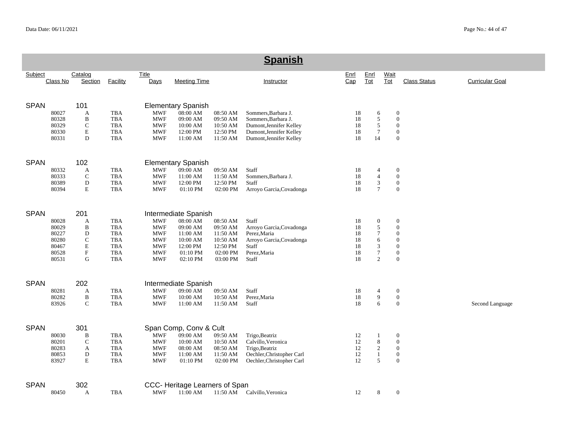|             |                |                           |                          |                          |                                       |                      | <b>Spanish</b>                           |          |                                  |                                  |                     |                        |
|-------------|----------------|---------------------------|--------------------------|--------------------------|---------------------------------------|----------------------|------------------------------------------|----------|----------------------------------|----------------------------------|---------------------|------------------------|
| Subject     |                | Catalog                   |                          | Title                    |                                       |                      |                                          | Enrl     | <b>Enrl</b>                      | Wait                             |                     |                        |
|             | Class No       | Section                   | <b>Facility</b>          | Days                     | <b>Meeting Time</b>                   |                      | Instructor                               | Cap      | $Tot$                            | $Tot$                            | <b>Class Status</b> | <b>Curricular Goal</b> |
|             |                |                           |                          |                          |                                       |                      |                                          |          |                                  |                                  |                     |                        |
| <b>SPAN</b> |                |                           |                          |                          |                                       |                      |                                          |          |                                  |                                  |                     |                        |
|             | 80027          | 101<br>A                  | TBA                      | <b>MWF</b>               | <b>Elementary Spanish</b><br>08:00 AM | 08:50 AM             | Sommers, Barbara J.                      | 18       | 6                                | $\overline{0}$                   |                     |                        |
|             | 80328          | B                         | <b>TBA</b>               | <b>MWF</b>               | $09:00$ AM                            | 09:50 AM             | Sommers, Barbara J.                      | 18       | $\sqrt{5}$                       | $\mathbf{0}$                     |                     |                        |
|             | 80329          | $\mathbf C$               | TBA                      | <b>MWF</b>               | 10:00 AM                              | 10:50 AM             | Dumont, Jennifer Kelley                  | 18       | $\overline{5}$                   | $\mathbf{0}$                     |                     |                        |
|             | 80330          | $\mathbf E$               | <b>TBA</b>               | <b>MWF</b>               | 12:00 PM                              | 12:50 PM             | Dumont, Jennifer Kelley                  | 18       | $\boldsymbol{7}$                 | $\mathbf{0}$                     |                     |                        |
|             | 80331          | D                         | <b>TBA</b>               | <b>MWF</b>               | 11:00 AM                              | 11:50 AM             | Dumont, Jennifer Kelley                  | 18       | 14                               | $\mathbf{0}$                     |                     |                        |
|             |                |                           |                          |                          |                                       |                      |                                          |          |                                  |                                  |                     |                        |
|             |                |                           |                          |                          |                                       |                      |                                          |          |                                  |                                  |                     |                        |
| <b>SPAN</b> |                | 102                       |                          |                          | <b>Elementary Spanish</b>             |                      |                                          |          |                                  |                                  |                     |                        |
|             | 80332<br>80333 | A<br>$\mathsf{C}$         | <b>TBA</b><br><b>TBA</b> | <b>MWF</b><br><b>MWF</b> | 09:00 AM<br>11:00 AM                  | 09:50 AM<br>11:50 AM | Staff<br>Sommers, Barbara J.             | 18<br>18 | $\overline{4}$<br>$\overline{4}$ | $\mathbf{0}$<br>$\overline{0}$   |                     |                        |
|             | 80389          | D                         | <b>TBA</b>               | MWF                      | 12:00 PM                              | 12:50 PM             | Staff                                    | 18       | 3                                | $\mathbf{0}$                     |                     |                        |
|             | 80394          | E                         | <b>TBA</b>               | <b>MWF</b>               | 01:10 PM                              | 02:00 PM             | Arroyo Garcia, Covadonga                 | 18       | $\overline{7}$                   | $\mathbf{0}$                     |                     |                        |
|             |                |                           |                          |                          |                                       |                      |                                          |          |                                  |                                  |                     |                        |
|             |                |                           |                          |                          |                                       |                      |                                          |          |                                  |                                  |                     |                        |
| <b>SPAN</b> |                | 201                       |                          |                          | Intermediate Spanish                  |                      |                                          |          |                                  |                                  |                     |                        |
|             | 80028          | A                         | <b>TBA</b>               | <b>MWF</b>               | 08:00 AM                              | 08:50 AM             | Staff                                    | 18       | $\boldsymbol{0}$                 | $\boldsymbol{0}$                 |                     |                        |
|             | 80029<br>80227 | B<br>$\mathbf D$          | <b>TBA</b><br><b>TBA</b> | <b>MWF</b><br><b>MWF</b> | 09:00 AM<br>11:00 AM                  | 09:50 AM<br>11:50 AM | Arroyo Garcia, Covadonga<br>Perez, Maria | 18<br>18 | 5<br>$\tau$                      | $\mathbf{0}$<br>$\boldsymbol{0}$ |                     |                        |
|             | 80280          | $\mathbf C$               | <b>TBA</b>               | <b>MWF</b>               | 10:00 AM                              | 10:50 AM             | Arroyo Garcia, Covadonga                 | 18       | 6                                | $\mathbf{0}$                     |                     |                        |
|             | 80467          | E                         | TBA                      | <b>MWF</b>               | 12:00 PM                              | 12:50 PM             | Staff                                    | 18       | $\mathfrak{Z}$                   | $\mathbf{0}$                     |                     |                        |
|             | 80528          | $\boldsymbol{\mathrm{F}}$ | <b>TBA</b>               | <b>MWF</b>               | 01:10 PM                              | 02:00 PM             | Perez, Maria                             | 18       | $\tau$                           | $\mathbf{0}$                     |                     |                        |
|             | 80531          | G                         | <b>TBA</b>               | <b>MWF</b>               | 02:10 PM                              | 03:00 PM             | Staff                                    | 18       | 2                                | $\mathbf{0}$                     |                     |                        |
|             |                |                           |                          |                          |                                       |                      |                                          |          |                                  |                                  |                     |                        |
|             |                |                           |                          |                          |                                       |                      |                                          |          |                                  |                                  |                     |                        |
| <b>SPAN</b> | 80281          | 202<br>A                  | <b>TBA</b>               | <b>MWF</b>               | Intermediate Spanish<br>09:00 AM      | 09:50 AM             | Staff                                    | 18       | $\overline{4}$                   | $\mathbf{0}$                     |                     |                        |
|             | 80282          | B                         | <b>TBA</b>               | <b>MWF</b>               | 10:00 AM                              | 10:50 AM             | Perez, Maria                             | 18       | $\overline{9}$                   | $\mathbf{0}$                     |                     |                        |
|             | 83926          | $\mathsf{C}$              | TBA                      | <b>MWF</b>               | 11:00 AM                              | 11:50 AM             | Staff                                    | 18       | 6                                | $\overline{0}$                   |                     | Second Language        |
|             |                |                           |                          |                          |                                       |                      |                                          |          |                                  |                                  |                     |                        |
|             |                |                           |                          |                          |                                       |                      |                                          |          |                                  |                                  |                     |                        |
| <b>SPAN</b> |                | 301                       |                          |                          | Span Comp, Conv & Cult                |                      |                                          |          |                                  |                                  |                     |                        |
|             | 80030          | $\, {\bf B}$              | <b>TBA</b>               | <b>MWF</b>               | 09:00 AM                              | 09:50 AM             | Trigo, Beatriz                           | 12       | $\mathbf{1}$                     | $\boldsymbol{0}$                 |                     |                        |
|             | 80201<br>80283 | C<br>A                    | <b>TBA</b><br><b>TBA</b> | <b>MWF</b><br><b>MWF</b> | 10:00 AM<br>08:00 AM                  | 10:50 AM<br>08:50 AM | Calvillo, Veronica<br>Trigo, Beatriz     | 12<br>12 | $\,8\,$<br>$\sqrt{2}$            | $\mathbf{0}$<br>$\mathbf{0}$     |                     |                        |
|             | 80853          | D                         | <b>TBA</b>               | <b>MWF</b>               | 11:00 AM                              | 11:50 AM             | Oechler, Christopher Carl                | 12       | $\mathbf{1}$                     | $\boldsymbol{0}$                 |                     |                        |
|             | 83927          | E                         | TBA                      | <b>MWF</b>               | 01:10 PM                              | 02:00 PM             | Oechler, Christopher Carl                | 12       | 5                                | $\mathbf{0}$                     |                     |                        |
|             |                |                           |                          |                          |                                       |                      |                                          |          |                                  |                                  |                     |                        |
|             |                |                           |                          |                          |                                       |                      |                                          |          |                                  |                                  |                     |                        |
| <b>SPAN</b> |                | 302                       |                          |                          | CCC- Heritage Learners of Span        |                      |                                          |          |                                  |                                  |                     |                        |
|             | 80450          | A                         | <b>TBA</b>               | <b>MWF</b>               | $11:00 \text{ AM}$                    |                      | 11:50 AM Calvillo, Veronica              | 12       | 8                                | $\overline{0}$                   |                     |                        |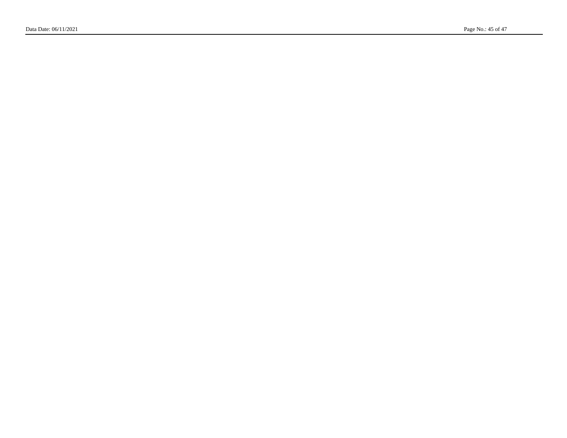Data Date: 06/11/2021 Page No.: 45 of 47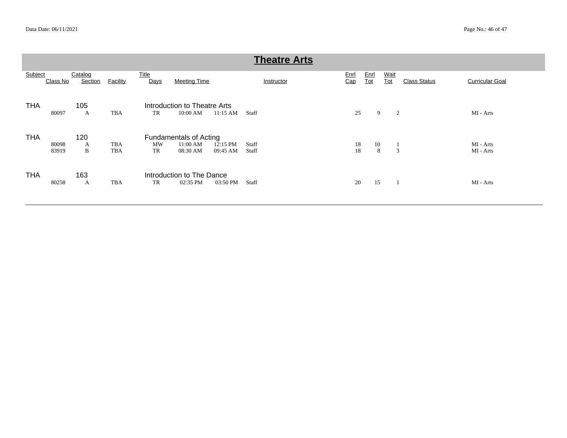|            |                |                    |                          |                      |                                                                               | <b>Theatre Arts</b> |                        |                                                 |                     |                        |
|------------|----------------|--------------------|--------------------------|----------------------|-------------------------------------------------------------------------------|---------------------|------------------------|-------------------------------------------------|---------------------|------------------------|
| Subject    | Class No       | Catalog<br>Section | Facility                 | <b>Title</b><br>Days | <b>Meeting Time</b>                                                           | Instructor          | Enrl<br>$\mathbf{Cap}$ | Enrl<br><u>Wait</u><br><b>Tot</b><br><b>Tot</b> | <b>Class Status</b> | <b>Curricular Goal</b> |
| <b>THA</b> | 80097          | 105<br>A           | <b>TBA</b>               | TR                   | Introduction to Theatre Arts<br>$10:00$ AM<br>$11:15$ AM                      | Staff               | 25                     | 9                                               | 2                   | MI - Arts              |
| <b>THA</b> | 80098<br>83919 | 120<br>A<br>B      | <b>TBA</b><br><b>TBA</b> | MW<br>TR             | <b>Fundamentals of Acting</b><br>11:00 AM<br>12:15 PM<br>08:30 AM<br>09:45 AM | Staff<br>Staff      | 18<br>18               | 10<br>8                                         | $\mathbf{1}$<br>3   | MI - Arts<br>MI - Arts |
| <b>THA</b> | 80258          | 163<br>A           | <b>TBA</b>               | TR                   | Introduction to The Dance<br>02:35 PM<br>03:50 PM                             | Staff               | 20                     | 15                                              |                     | MI - Arts              |